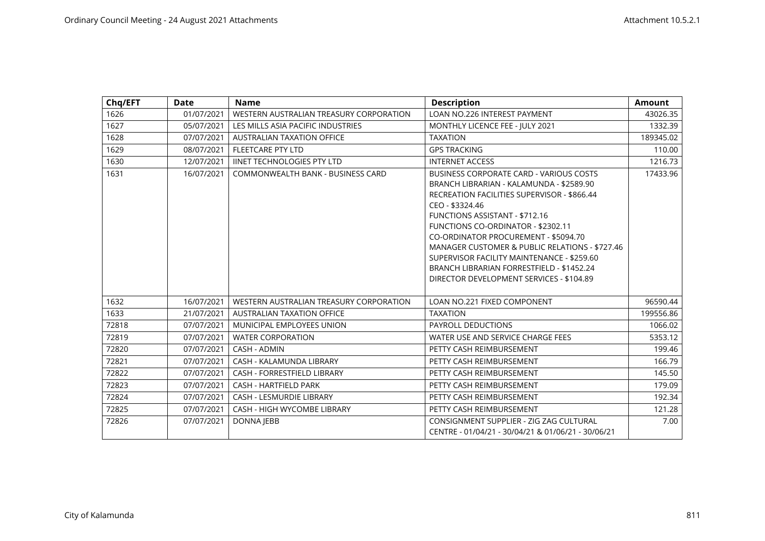| Chq/EFT | Date       | <b>Name</b>                             | <b>Description</b>                                                                                                                                                                                                                                                                                                                                                                                                                                                                  | <b>Amount</b> |
|---------|------------|-----------------------------------------|-------------------------------------------------------------------------------------------------------------------------------------------------------------------------------------------------------------------------------------------------------------------------------------------------------------------------------------------------------------------------------------------------------------------------------------------------------------------------------------|---------------|
| 1626    | 01/07/2021 | WESTERN AUSTRALIAN TREASURY CORPORATION | LOAN NO.226 INTEREST PAYMENT                                                                                                                                                                                                                                                                                                                                                                                                                                                        | 43026.35      |
| 1627    | 05/07/2021 | LES MILLS ASIA PACIFIC INDUSTRIES       | MONTHLY LICENCE FEE - JULY 2021                                                                                                                                                                                                                                                                                                                                                                                                                                                     | 1332.39       |
| 1628    | 07/07/2021 | AUSTRALIAN TAXATION OFFICE              | <b>TAXATION</b>                                                                                                                                                                                                                                                                                                                                                                                                                                                                     | 189345.02     |
| 1629    | 08/07/2021 | <b>FLEETCARE PTY LTD</b>                | <b>GPS TRACKING</b>                                                                                                                                                                                                                                                                                                                                                                                                                                                                 | 110.00        |
| 1630    | 12/07/2021 | <b>IINET TECHNOLOGIES PTY LTD</b>       | <b>INTERNET ACCESS</b>                                                                                                                                                                                                                                                                                                                                                                                                                                                              | 1216.73       |
| 1631    | 16/07/2021 | COMMONWEALTH BANK - BUSINESS CARD       | <b>BUSINESS CORPORATE CARD - VARIOUS COSTS</b><br>BRANCH LIBRARIAN - KALAMUNDA - \$2589.90<br>RECREATION FACILITIES SUPERVISOR - \$866.44<br>CEO - \$3324.46<br><b>FUNCTIONS ASSISTANT - \$712.16</b><br><b>FUNCTIONS CO-ORDINATOR - \$2302.11</b><br>CO-ORDINATOR PROCUREMENT - \$5094.70<br>MANAGER CUSTOMER & PUBLIC RELATIONS - \$727.46<br>SUPERVISOR FACILITY MAINTENANCE - \$259.60<br>BRANCH LIBRARIAN FORRESTFIELD - \$1452.24<br>DIRECTOR DEVELOPMENT SERVICES - \$104.89 | 17433.96      |
| 1632    | 16/07/2021 | WESTERN AUSTRALIAN TREASURY CORPORATION | LOAN NO.221 FIXED COMPONENT                                                                                                                                                                                                                                                                                                                                                                                                                                                         | 96590.44      |
| 1633    | 21/07/2021 | <b>AUSTRALIAN TAXATION OFFICE</b>       | <b>TAXATION</b>                                                                                                                                                                                                                                                                                                                                                                                                                                                                     | 199556.86     |
| 72818   | 07/07/2021 | MUNICIPAL EMPLOYEES UNION               | PAYROLL DEDUCTIONS                                                                                                                                                                                                                                                                                                                                                                                                                                                                  | 1066.02       |
| 72819   | 07/07/2021 | <b>WATER CORPORATION</b>                | WATER USE AND SERVICE CHARGE FEES                                                                                                                                                                                                                                                                                                                                                                                                                                                   | 5353.12       |
| 72820   | 07/07/2021 | CASH - ADMIN                            | PETTY CASH REIMBURSEMENT                                                                                                                                                                                                                                                                                                                                                                                                                                                            | 199.46        |
| 72821   | 07/07/2021 | CASH - KALAMUNDA LIBRARY                | PETTY CASH REIMBURSEMENT                                                                                                                                                                                                                                                                                                                                                                                                                                                            | 166.79        |
| 72822   | 07/07/2021 | CASH - FORRESTFIELD LIBRARY             | PETTY CASH REIMBURSEMENT                                                                                                                                                                                                                                                                                                                                                                                                                                                            | 145.50        |
| 72823   | 07/07/2021 | CASH - HARTFIELD PARK                   | PETTY CASH REIMBURSEMENT                                                                                                                                                                                                                                                                                                                                                                                                                                                            | 179.09        |
| 72824   | 07/07/2021 | <b>CASH - LESMURDIE LIBRARY</b>         | PETTY CASH REIMBURSEMENT                                                                                                                                                                                                                                                                                                                                                                                                                                                            | 192.34        |
| 72825   | 07/07/2021 | CASH - HIGH WYCOMBE LIBRARY             | PETTY CASH REIMBURSEMENT                                                                                                                                                                                                                                                                                                                                                                                                                                                            | 121.28        |
| 72826   | 07/07/2021 | <b>DONNA JEBB</b>                       | CONSIGNMENT SUPPLIER - ZIG ZAG CULTURAL<br>CENTRE - 01/04/21 - 30/04/21 & 01/06/21 - 30/06/21                                                                                                                                                                                                                                                                                                                                                                                       | 7.00          |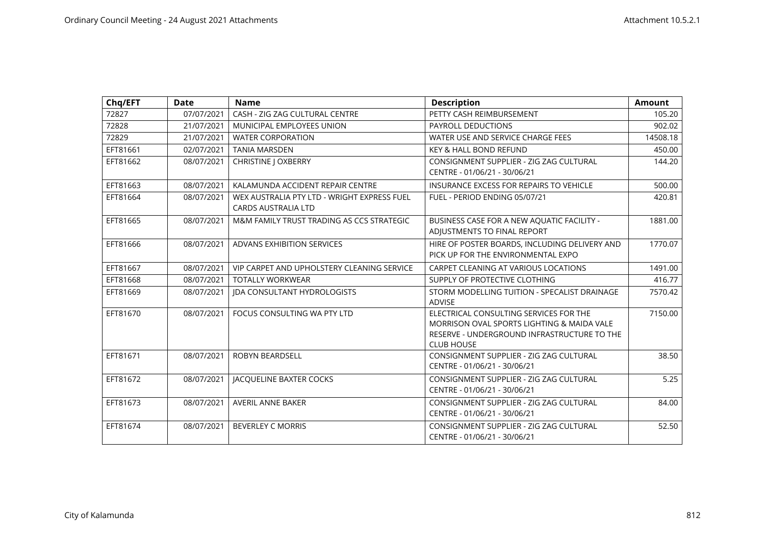| Chq/EFT  | <b>Date</b> | <b>Name</b>                                                               | <b>Description</b>                                                                                                                                       | <b>Amount</b> |
|----------|-------------|---------------------------------------------------------------------------|----------------------------------------------------------------------------------------------------------------------------------------------------------|---------------|
| 72827    | 07/07/2021  | CASH - ZIG ZAG CULTURAL CENTRE                                            | PETTY CASH REIMBURSEMENT                                                                                                                                 | 105.20        |
| 72828    | 21/07/2021  | MUNICIPAL EMPLOYEES UNION                                                 | PAYROLL DEDUCTIONS                                                                                                                                       | 902.02        |
| 72829    | 21/07/2021  | <b>WATER CORPORATION</b>                                                  | WATER USE AND SERVICE CHARGE FEES                                                                                                                        | 14508.18      |
| EFT81661 | 02/07/2021  | <b>TANIA MARSDEN</b>                                                      | <b>KEY &amp; HALL BOND REFUND</b>                                                                                                                        | 450.00        |
| EFT81662 | 08/07/2021  | <b>CHRISTINE   OXBERRY</b>                                                | CONSIGNMENT SUPPLIER - ZIG ZAG CULTURAL<br>CENTRE - 01/06/21 - 30/06/21                                                                                  | 144.20        |
| EFT81663 | 08/07/2021  | KALAMUNDA ACCIDENT REPAIR CENTRE                                          | INSURANCE EXCESS FOR REPAIRS TO VEHICLE                                                                                                                  | 500.00        |
| EFT81664 | 08/07/2021  | WEX AUSTRALIA PTY LTD - WRIGHT EXPRESS FUEL<br><b>CARDS AUSTRALIA LTD</b> | FUEL - PERIOD ENDING 05/07/21                                                                                                                            | 420.81        |
| EFT81665 | 08/07/2021  | M&M FAMILY TRUST TRADING AS CCS STRATEGIC                                 | BUSINESS CASE FOR A NEW AQUATIC FACILITY -<br>ADJUSTMENTS TO FINAL REPORT                                                                                | 1881.00       |
| EFT81666 | 08/07/2021  | <b>ADVANS EXHIBITION SERVICES</b>                                         | HIRE OF POSTER BOARDS, INCLUDING DELIVERY AND<br>PICK UP FOR THE ENVIRONMENTAL EXPO                                                                      | 1770.07       |
| EFT81667 | 08/07/2021  | VIP CARPET AND UPHOLSTERY CLEANING SERVICE                                | CARPET CLEANING AT VARIOUS LOCATIONS                                                                                                                     | 1491.00       |
| EFT81668 | 08/07/2021  | <b>TOTALLY WORKWEAR</b>                                                   | SUPPLY OF PROTECTIVE CLOTHING                                                                                                                            | 416.77        |
| EFT81669 | 08/07/2021  | <b>IDA CONSULTANT HYDROLOGISTS</b>                                        | STORM MODELLING TUITION - SPECALIST DRAINAGE<br><b>ADVISE</b>                                                                                            | 7570.42       |
| EFT81670 | 08/07/2021  | FOCUS CONSULTING WA PTY LTD                                               | ELECTRICAL CONSULTING SERVICES FOR THE<br>MORRISON OVAL SPORTS LIGHTING & MAIDA VALE<br>RESERVE - UNDERGROUND INFRASTRUCTURE TO THE<br><b>CLUB HOUSE</b> | 7150.00       |
| EFT81671 | 08/07/2021  | <b>ROBYN BEARDSELL</b>                                                    | CONSIGNMENT SUPPLIER - ZIG ZAG CULTURAL<br>CENTRE - 01/06/21 - 30/06/21                                                                                  | 38.50         |
| EFT81672 | 08/07/2021  | JACQUELINE BAXTER COCKS                                                   | CONSIGNMENT SUPPLIER - ZIG ZAG CULTURAL<br>CENTRE - 01/06/21 - 30/06/21                                                                                  | 5.25          |
| EFT81673 | 08/07/2021  | <b>AVERIL ANNE BAKER</b>                                                  | CONSIGNMENT SUPPLIER - ZIG ZAG CULTURAL<br>CENTRE - 01/06/21 - 30/06/21                                                                                  | 84.00         |
| EFT81674 | 08/07/2021  | <b>BEVERLEY C MORRIS</b>                                                  | CONSIGNMENT SUPPLIER - ZIG ZAG CULTURAL<br>CENTRE - 01/06/21 - 30/06/21                                                                                  | 52.50         |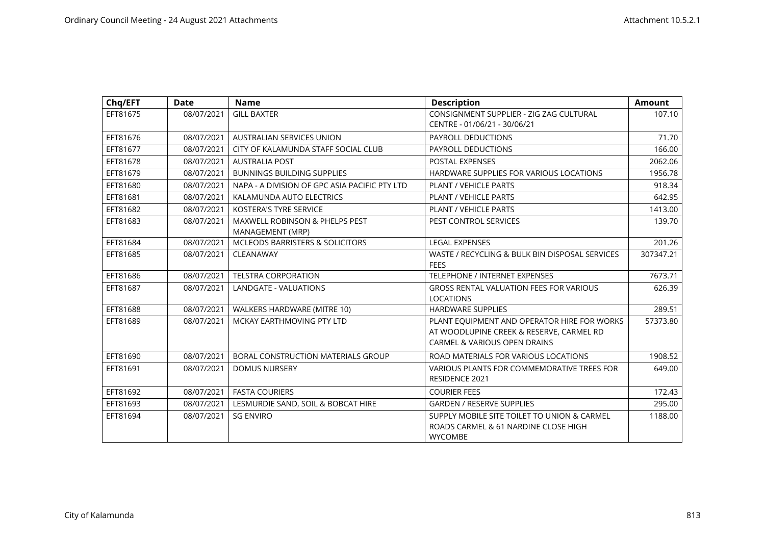| Chq/EFT  | <b>Date</b> | <b>Name</b>                                        | <b>Description</b>                                                                                                                 | <b>Amount</b> |
|----------|-------------|----------------------------------------------------|------------------------------------------------------------------------------------------------------------------------------------|---------------|
| EFT81675 | 08/07/2021  | <b>GILL BAXTER</b>                                 | CONSIGNMENT SUPPLIER - ZIG ZAG CULTURAL<br>CENTRE - 01/06/21 - 30/06/21                                                            | 107.10        |
| EFT81676 | 08/07/2021  | <b>AUSTRALIAN SERVICES UNION</b>                   | PAYROLL DEDUCTIONS                                                                                                                 | 71.70         |
| EFT81677 | 08/07/2021  | CITY OF KALAMUNDA STAFF SOCIAL CLUB                | PAYROLL DEDUCTIONS                                                                                                                 | 166.00        |
| EFT81678 | 08/07/2021  | <b>AUSTRALIA POST</b>                              | POSTAL EXPENSES                                                                                                                    | 2062.06       |
| EFT81679 | 08/07/2021  | <b>BUNNINGS BUILDING SUPPLIES</b>                  | HARDWARE SUPPLIES FOR VARIOUS LOCATIONS                                                                                            | 1956.78       |
| EFT81680 | 08/07/2021  | NAPA - A DIVISION OF GPC ASIA PACIFIC PTY LTD      | <b>PLANT / VEHICLE PARTS</b>                                                                                                       | 918.34        |
| EFT81681 | 08/07/2021  | KALAMUNDA AUTO ELECTRICS                           | <b>PLANT / VEHICLE PARTS</b>                                                                                                       | 642.95        |
| EFT81682 | 08/07/2021  | <b>KOSTERA'S TYRE SERVICE</b>                      | PLANT / VEHICLE PARTS                                                                                                              | 1413.00       |
| EFT81683 | 08/07/2021  | MAXWELL ROBINSON & PHELPS PEST<br>MANAGEMENT (MRP) | PEST CONTROL SERVICES                                                                                                              | 139.70        |
| EFT81684 | 08/07/2021  | <b>MCLEODS BARRISTERS &amp; SOLICITORS</b>         | <b>LEGAL EXPENSES</b>                                                                                                              | 201.26        |
| EFT81685 | 08/07/2021  | CLEANAWAY                                          | WASTE / RECYCLING & BULK BIN DISPOSAL SERVICES<br><b>FEES</b>                                                                      | 307347.21     |
| EFT81686 | 08/07/2021  | <b>TELSTRA CORPORATION</b>                         | TELEPHONE / INTERNET EXPENSES                                                                                                      | 7673.71       |
| EFT81687 | 08/07/2021  | <b>LANDGATE - VALUATIONS</b>                       | <b>GROSS RENTAL VALUATION FEES FOR VARIOUS</b><br><b>LOCATIONS</b>                                                                 | 626.39        |
| EFT81688 | 08/07/2021  | WALKERS HARDWARE (MITRE 10)                        | <b>HARDWARE SUPPLIES</b>                                                                                                           | 289.51        |
| EFT81689 | 08/07/2021  | MCKAY EARTHMOVING PTY LTD                          | PLANT EQUIPMENT AND OPERATOR HIRE FOR WORKS<br>AT WOODLUPINE CREEK & RESERVE, CARMEL RD<br><b>CARMEL &amp; VARIOUS OPEN DRAINS</b> | 57373.80      |
| EFT81690 | 08/07/2021  | BORAL CONSTRUCTION MATERIALS GROUP                 | ROAD MATERIALS FOR VARIOUS LOCATIONS                                                                                               | 1908.52       |
| EFT81691 | 08/07/2021  | <b>DOMUS NURSERY</b>                               | VARIOUS PLANTS FOR COMMEMORATIVE TREES FOR<br><b>RESIDENCE 2021</b>                                                                | 649.00        |
| EFT81692 | 08/07/2021  | <b>FASTA COURIERS</b>                              | <b>COURIER FEES</b>                                                                                                                | 172.43        |
| EFT81693 | 08/07/2021  | LESMURDIE SAND, SOIL & BOBCAT HIRE                 | <b>GARDEN / RESERVE SUPPLIES</b>                                                                                                   | 295.00        |
| EFT81694 | 08/07/2021  | <b>SG ENVIRO</b>                                   | SUPPLY MOBILE SITE TOILET TO UNION & CARMEL<br>ROADS CARMEL & 61 NARDINE CLOSE HIGH<br><b>WYCOMBE</b>                              | 1188.00       |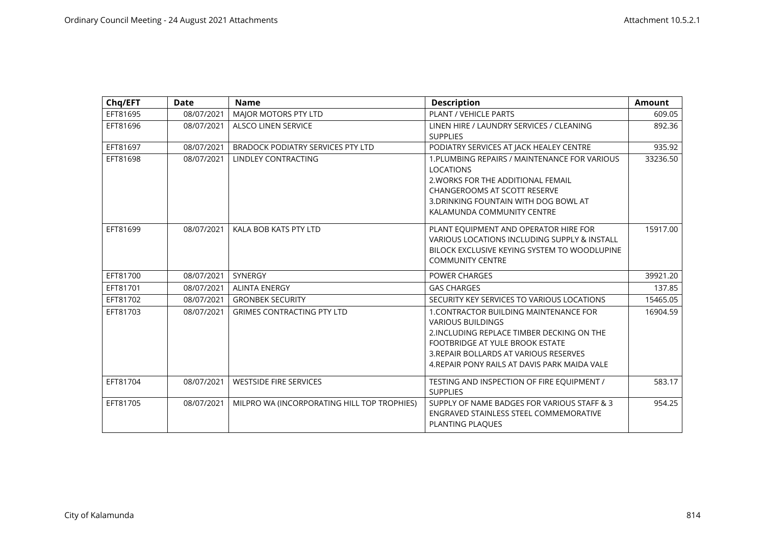| Chq/EFT  | <b>Date</b> | <b>Name</b>                                 | <b>Description</b>                                                                                                                                                                                                                                    | <b>Amount</b> |
|----------|-------------|---------------------------------------------|-------------------------------------------------------------------------------------------------------------------------------------------------------------------------------------------------------------------------------------------------------|---------------|
| EFT81695 | 08/07/2021  | MAJOR MOTORS PTY LTD                        | PLANT / VEHICLE PARTS                                                                                                                                                                                                                                 | 609.05        |
| EFT81696 | 08/07/2021  | <b>ALSCO LINEN SERVICE</b>                  | LINEN HIRE / LAUNDRY SERVICES / CLEANING<br><b>SUPPLIES</b>                                                                                                                                                                                           | 892.36        |
| EFT81697 | 08/07/2021  | <b>BRADOCK PODIATRY SERVICES PTY LTD</b>    | PODIATRY SERVICES AT JACK HEALEY CENTRE                                                                                                                                                                                                               | 935.92        |
| EFT81698 | 08/07/2021  | LINDLEY CONTRACTING                         | 1. PLUMBING REPAIRS / MAINTENANCE FOR VARIOUS<br><b>LOCATIONS</b><br>2. WORKS FOR THE ADDITIONAL FEMAIL<br><b>CHANGEROOMS AT SCOTT RESERVE</b><br>3. DRINKING FOUNTAIN WITH DOG BOWL AT<br>KALAMUNDA COMMUNITY CENTRE                                 | 33236.50      |
| EFT81699 | 08/07/2021  | KALA BOB KATS PTY LTD                       | PLANT EQUIPMENT AND OPERATOR HIRE FOR<br>VARIOUS LOCATIONS INCLUDING SUPPLY & INSTALL<br>BILOCK EXCLUSIVE KEYING SYSTEM TO WOODLUPINE<br><b>COMMUNITY CENTRE</b>                                                                                      | 15917.00      |
| EFT81700 | 08/07/2021  | SYNERGY                                     | <b>POWER CHARGES</b>                                                                                                                                                                                                                                  | 39921.20      |
| EFT81701 | 08/07/2021  | <b>ALINTA ENERGY</b>                        | <b>GAS CHARGES</b>                                                                                                                                                                                                                                    | 137.85        |
| EFT81702 | 08/07/2021  | <b>GRONBEK SECURITY</b>                     | SECURITY KEY SERVICES TO VARIOUS LOCATIONS                                                                                                                                                                                                            | 15465.05      |
| EFT81703 | 08/07/2021  | <b>GRIMES CONTRACTING PTY LTD</b>           | <b>1. CONTRACTOR BUILDING MAINTENANCE FOR</b><br><b>VARIOUS BUILDINGS</b><br>2. INCLUDING REPLACE TIMBER DECKING ON THE<br>FOOTBRIDGE AT YULE BROOK ESTATE<br>3. REPAIR BOLLARDS AT VARIOUS RESERVES<br>4. REPAIR PONY RAILS AT DAVIS PARK MAIDA VALE | 16904.59      |
| EFT81704 | 08/07/2021  | <b>WESTSIDE FIRE SERVICES</b>               | TESTING AND INSPECTION OF FIRE EQUIPMENT /<br><b>SUPPLIES</b>                                                                                                                                                                                         | 583.17        |
| EFT81705 | 08/07/2021  | MILPRO WA (INCORPORATING HILL TOP TROPHIES) | SUPPLY OF NAME BADGES FOR VARIOUS STAFF & 3<br>ENGRAVED STAINLESS STEEL COMMEMORATIVE<br>PLANTING PLAQUES                                                                                                                                             | 954.25        |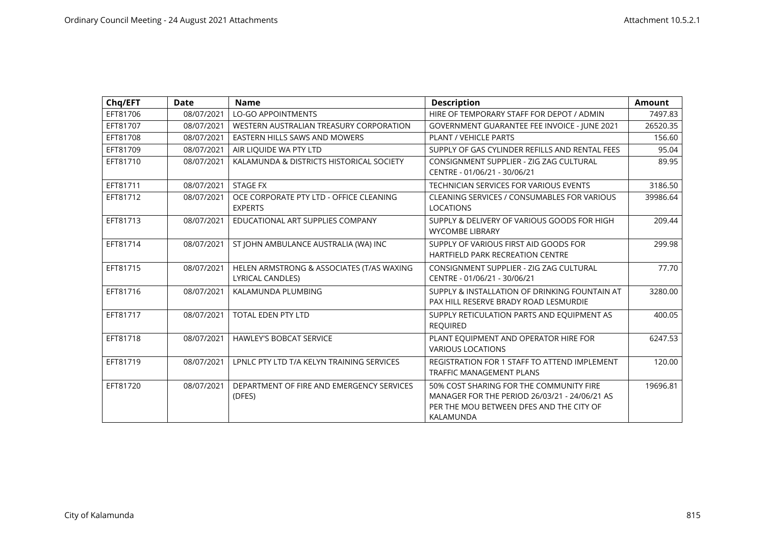| Chq/EFT  | <b>Date</b> | <b>Name</b>                                                          | <b>Description</b>                                                                                                                                | <b>Amount</b> |
|----------|-------------|----------------------------------------------------------------------|---------------------------------------------------------------------------------------------------------------------------------------------------|---------------|
| EFT81706 | 08/07/2021  | <b>LO-GO APPOINTMENTS</b>                                            | HIRE OF TEMPORARY STAFF FOR DEPOT / ADMIN                                                                                                         | 7497.83       |
| EFT81707 | 08/07/2021  | WESTERN AUSTRALIAN TREASURY CORPORATION                              | GOVERNMENT GUARANTEE FEE INVOICE - JUNE 2021                                                                                                      | 26520.35      |
| EFT81708 | 08/07/2021  | EASTERN HILLS SAWS AND MOWERS                                        | PLANT / VEHICLE PARTS                                                                                                                             | 156.60        |
| EFT81709 | 08/07/2021  | AIR LIQUIDE WA PTY LTD                                               | SUPPLY OF GAS CYLINDER REFILLS AND RENTAL FEES                                                                                                    | 95.04         |
| EFT81710 | 08/07/2021  | KALAMUNDA & DISTRICTS HISTORICAL SOCIETY                             | CONSIGNMENT SUPPLIER - ZIG ZAG CULTURAL<br>CENTRE - 01/06/21 - 30/06/21                                                                           | 89.95         |
| EFT81711 | 08/07/2021  | <b>STAGE FX</b>                                                      | TECHNICIAN SERVICES FOR VARIOUS EVENTS                                                                                                            | 3186.50       |
| EFT81712 | 08/07/2021  | OCE CORPORATE PTY LTD - OFFICE CLEANING<br><b>EXPERTS</b>            | CLEANING SERVICES / CONSUMABLES FOR VARIOUS<br><b>LOCATIONS</b>                                                                                   | 39986.64      |
| EFT81713 | 08/07/2021  | EDUCATIONAL ART SUPPLIES COMPANY                                     | SUPPLY & DELIVERY OF VARIOUS GOODS FOR HIGH<br><b>WYCOMBE LIBRARY</b>                                                                             | 209.44        |
| EFT81714 | 08/07/2021  | ST JOHN AMBULANCE AUSTRALIA (WA) INC                                 | SUPPLY OF VARIOUS FIRST AID GOODS FOR<br><b>HARTFIELD PARK RECREATION CENTRE</b>                                                                  | 299.98        |
| EFT81715 | 08/07/2021  | HELEN ARMSTRONG & ASSOCIATES (T/AS WAXING<br><b>LYRICAL CANDLES)</b> | CONSIGNMENT SUPPLIER - ZIG ZAG CULTURAL<br>CENTRE - 01/06/21 - 30/06/21                                                                           | 77.70         |
| EFT81716 | 08/07/2021  | KALAMUNDA PLUMBING                                                   | SUPPLY & INSTALLATION OF DRINKING FOUNTAIN AT<br>PAX HILL RESERVE BRADY ROAD LESMURDIE                                                            | 3280.00       |
| EFT81717 | 08/07/2021  | TOTAL EDEN PTY LTD                                                   | SUPPLY RETICULATION PARTS AND EQUIPMENT AS<br><b>REQUIRED</b>                                                                                     | 400.05        |
| EFT81718 | 08/07/2021  | <b>HAWLEY'S BOBCAT SERVICE</b>                                       | PLANT EQUIPMENT AND OPERATOR HIRE FOR<br><b>VARIOUS LOCATIONS</b>                                                                                 | 6247.53       |
| EFT81719 | 08/07/2021  | LPNLC PTY LTD T/A KELYN TRAINING SERVICES                            | REGISTRATION FOR 1 STAFF TO ATTEND IMPLEMENT<br><b>TRAFFIC MANAGEMENT PLANS</b>                                                                   | 120.00        |
| EFT81720 | 08/07/2021  | DEPARTMENT OF FIRE AND EMERGENCY SERVICES<br>(DFES)                  | 50% COST SHARING FOR THE COMMUNITY FIRE<br>MANAGER FOR THE PERIOD 26/03/21 - 24/06/21 AS<br>PER THE MOU BETWEEN DFES AND THE CITY OF<br>KALAMUNDA | 19696.81      |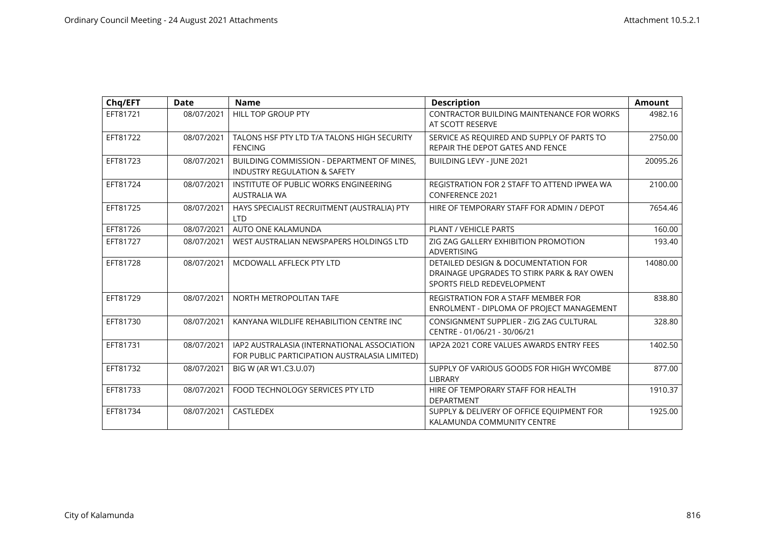| Chq/EFT  | Date       | <b>Name</b>                                                                                  | <b>Description</b>                                                                                              | <b>Amount</b> |
|----------|------------|----------------------------------------------------------------------------------------------|-----------------------------------------------------------------------------------------------------------------|---------------|
| EFT81721 | 08/07/2021 | <b>HILL TOP GROUP PTY</b>                                                                    | <b>CONTRACTOR BUILDING MAINTENANCE FOR WORKS</b><br>AT SCOTT RESERVE                                            | 4982.16       |
| EFT81722 | 08/07/2021 | TALONS HSF PTY LTD T/A TALONS HIGH SECURITY<br><b>FENCING</b>                                | SERVICE AS REQUIRED AND SUPPLY OF PARTS TO<br>REPAIR THE DEPOT GATES AND FENCE                                  | 2750.00       |
| EFT81723 | 08/07/2021 | BUILDING COMMISSION - DEPARTMENT OF MINES,<br><b>INDUSTRY REGULATION &amp; SAFETY</b>        | BUILDING LEVY - JUNE 2021                                                                                       | 20095.26      |
| EFT81724 | 08/07/2021 | INSTITUTE OF PUBLIC WORKS ENGINEERING<br><b>AUSTRALIA WA</b>                                 | REGISTRATION FOR 2 STAFF TO ATTEND IPWEA WA<br><b>CONFERENCE 2021</b>                                           | 2100.00       |
| EFT81725 | 08/07/2021 | HAYS SPECIALIST RECRUITMENT (AUSTRALIA) PTY<br><b>LTD</b>                                    | HIRE OF TEMPORARY STAFF FOR ADMIN / DEPOT                                                                       | 7654.46       |
| EFT81726 | 08/07/2021 | AUTO ONE KALAMUNDA                                                                           | PLANT / VEHICLE PARTS                                                                                           | 160.00        |
| EFT81727 | 08/07/2021 | WEST AUSTRALIAN NEWSPAPERS HOLDINGS LTD                                                      | ZIG ZAG GALLERY EXHIBITION PROMOTION<br><b>ADVERTISING</b>                                                      | 193.40        |
| EFT81728 | 08/07/2021 | MCDOWALL AFFLECK PTY LTD                                                                     | DETAILED DESIGN & DOCUMENTATION FOR<br>DRAINAGE UPGRADES TO STIRK PARK & RAY OWEN<br>SPORTS FIELD REDEVELOPMENT | 14080.00      |
| EFT81729 | 08/07/2021 | NORTH METROPOLITAN TAFE                                                                      | <b>REGISTRATION FOR A STAFF MEMBER FOR</b><br>ENROLMENT - DIPLOMA OF PROJECT MANAGEMENT                         | 838.80        |
| EFT81730 | 08/07/2021 | KANYANA WILDLIFE REHABILITION CENTRE INC                                                     | CONSIGNMENT SUPPLIER - ZIG ZAG CULTURAL<br>CENTRE - 01/06/21 - 30/06/21                                         | 328.80        |
| EFT81731 | 08/07/2021 | IAP2 AUSTRALASIA (INTERNATIONAL ASSOCIATION<br>FOR PUBLIC PARTICIPATION AUSTRALASIA LIMITED) | IAP2A 2021 CORE VALUES AWARDS ENTRY FEES                                                                        | 1402.50       |
| EFT81732 | 08/07/2021 | BIG W (AR W1.C3.U.07)                                                                        | SUPPLY OF VARIOUS GOODS FOR HIGH WYCOMBE<br><b>LIBRARY</b>                                                      | 877.00        |
| EFT81733 | 08/07/2021 | FOOD TECHNOLOGY SERVICES PTY LTD                                                             | HIRE OF TEMPORARY STAFF FOR HEALTH<br><b>DEPARTMENT</b>                                                         | 1910.37       |
| EFT81734 | 08/07/2021 | CASTLEDEX                                                                                    | SUPPLY & DELIVERY OF OFFICE EQUIPMENT FOR<br>KALAMUNDA COMMUNITY CENTRE                                         | 1925.00       |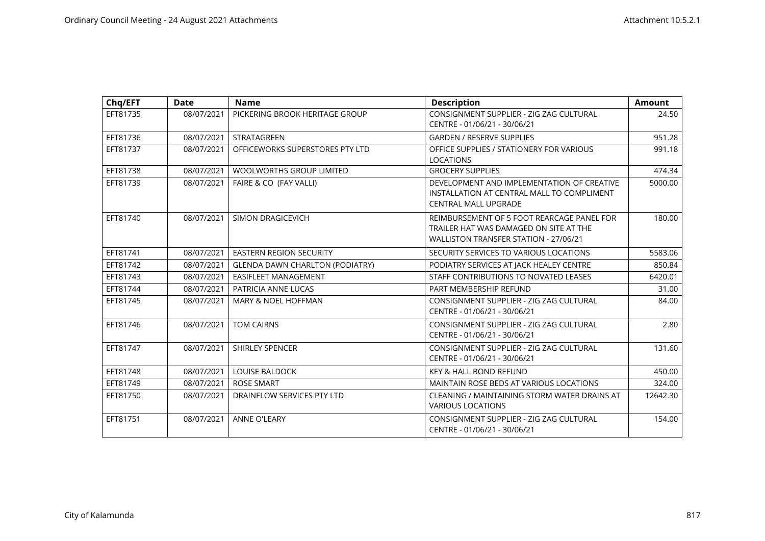| Chq/EFT  | Date       | <b>Name</b>                            | <b>Description</b>                                                                                                            | <b>Amount</b> |
|----------|------------|----------------------------------------|-------------------------------------------------------------------------------------------------------------------------------|---------------|
| EFT81735 | 08/07/2021 | PICKERING BROOK HERITAGE GROUP         | CONSIGNMENT SUPPLIER - ZIG ZAG CULTURAL<br>CENTRE - 01/06/21 - 30/06/21                                                       | 24.50         |
| EFT81736 | 08/07/2021 | <b>STRATAGREEN</b>                     | <b>GARDEN / RESERVE SUPPLIES</b>                                                                                              | 951.28        |
| EFT81737 | 08/07/2021 | OFFICEWORKS SUPERSTORES PTY LTD        | OFFICE SUPPLIES / STATIONERY FOR VARIOUS<br><b>LOCATIONS</b>                                                                  | 991.18        |
| EFT81738 | 08/07/2021 | <b>WOOLWORTHS GROUP LIMITED</b>        | <b>GROCERY SUPPLIES</b>                                                                                                       | 474.34        |
| EFT81739 | 08/07/2021 | FAIRE & CO (FAY VALLI)                 | DEVELOPMENT AND IMPLEMENTATION OF CREATIVE<br>INSTALLATION AT CENTRAL MALL TO COMPLIMENT<br><b>CENTRAL MALL UPGRADE</b>       | 5000.00       |
| EFT81740 | 08/07/2021 | SIMON DRAGICEVICH                      | REIMBURSEMENT OF 5 FOOT REARCAGE PANEL FOR<br>TRAILER HAT WAS DAMAGED ON SITE AT THE<br>WALLISTON TRANSFER STATION - 27/06/21 | 180.00        |
| EFT81741 | 08/07/2021 | <b>EASTERN REGION SECURITY</b>         | SECURITY SERVICES TO VARIOUS LOCATIONS                                                                                        | 5583.06       |
| EFT81742 | 08/07/2021 | <b>GLENDA DAWN CHARLTON (PODIATRY)</b> | PODIATRY SERVICES AT JACK HEALEY CENTRE                                                                                       | 850.84        |
| EFT81743 | 08/07/2021 | <b>EASIFLEET MANAGEMENT</b>            | STAFF CONTRIBUTIONS TO NOVATED LEASES                                                                                         | 6420.01       |
| EFT81744 | 08/07/2021 | PATRICIA ANNE LUCAS                    | PART MEMBERSHIP REFUND                                                                                                        | 31.00         |
| EFT81745 | 08/07/2021 | <b>MARY &amp; NOEL HOFFMAN</b>         | CONSIGNMENT SUPPLIER - ZIG ZAG CULTURAL<br>CENTRE - 01/06/21 - 30/06/21                                                       | 84.00         |
| EFT81746 | 08/07/2021 | <b>TOM CAIRNS</b>                      | CONSIGNMENT SUPPLIER - ZIG ZAG CULTURAL<br>CENTRE - 01/06/21 - 30/06/21                                                       | 2.80          |
| EFT81747 | 08/07/2021 | SHIRLEY SPENCER                        | CONSIGNMENT SUPPLIER - ZIG ZAG CULTURAL<br>CENTRE - 01/06/21 - 30/06/21                                                       | 131.60        |
| EFT81748 | 08/07/2021 | <b>LOUISE BALDOCK</b>                  | <b>KEY &amp; HALL BOND REFUND</b>                                                                                             | 450.00        |
| EFT81749 | 08/07/2021 | <b>ROSE SMART</b>                      | <b>MAINTAIN ROSE BEDS AT VARIOUS LOCATIONS</b>                                                                                | 324.00        |
| EFT81750 | 08/07/2021 | DRAINFLOW SERVICES PTY LTD             | CLEANING / MAINTAINING STORM WATER DRAINS AT<br><b>VARIOUS LOCATIONS</b>                                                      | 12642.30      |
| EFT81751 | 08/07/2021 | <b>ANNE O'LEARY</b>                    | CONSIGNMENT SUPPLIER - ZIG ZAG CULTURAL<br>CENTRE - 01/06/21 - 30/06/21                                                       | 154.00        |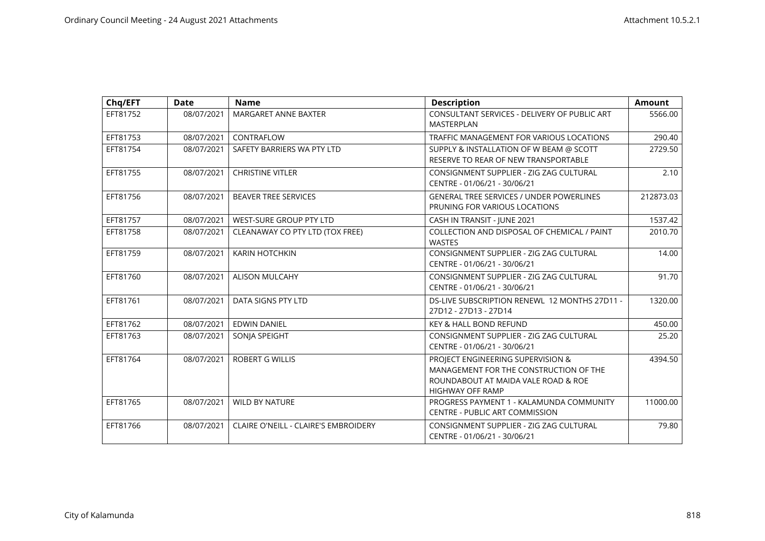| Chq/EFT  | <b>Date</b> | <b>Name</b>                          | <b>Description</b>                                                                                                                     | <b>Amount</b> |
|----------|-------------|--------------------------------------|----------------------------------------------------------------------------------------------------------------------------------------|---------------|
| EFT81752 | 08/07/2021  | MARGARET ANNE BAXTER                 | CONSULTANT SERVICES - DELIVERY OF PUBLIC ART<br><b>MASTERPLAN</b>                                                                      | 5566.00       |
| EFT81753 | 08/07/2021  | CONTRAFLOW                           | TRAFFIC MANAGEMENT FOR VARIOUS LOCATIONS                                                                                               | 290.40        |
| EFT81754 | 08/07/2021  | SAFETY BARRIERS WA PTY LTD           | SUPPLY & INSTALLATION OF W BEAM @ SCOTT<br>RESERVE TO REAR OF NEW TRANSPORTABLE                                                        | 2729.50       |
| EFT81755 | 08/07/2021  | <b>CHRISTINE VITLER</b>              | CONSIGNMENT SUPPLIER - ZIG ZAG CULTURAL<br>CENTRE - 01/06/21 - 30/06/21                                                                | 2.10          |
| EFT81756 | 08/07/2021  | <b>BEAVER TREE SERVICES</b>          | <b>GENERAL TREE SERVICES / UNDER POWERLINES</b><br>PRUNING FOR VARIOUS LOCATIONS                                                       | 212873.03     |
| EFT81757 | 08/07/2021  | WEST-SURE GROUP PTY LTD              | CASH IN TRANSIT - JUNE 2021                                                                                                            | 1537.42       |
| EFT81758 | 08/07/2021  | CLEANAWAY CO PTY LTD (TOX FREE)      | COLLECTION AND DISPOSAL OF CHEMICAL / PAINT<br><b>WASTES</b>                                                                           | 2010.70       |
| EFT81759 | 08/07/2021  | <b>KARIN HOTCHKIN</b>                | CONSIGNMENT SUPPLIER - ZIG ZAG CULTURAL<br>CENTRE - 01/06/21 - 30/06/21                                                                | 14.00         |
| EFT81760 | 08/07/2021  | <b>ALISON MULCAHY</b>                | CONSIGNMENT SUPPLIER - ZIG ZAG CULTURAL<br>CENTRE - 01/06/21 - 30/06/21                                                                | 91.70         |
| EFT81761 | 08/07/2021  | DATA SIGNS PTY LTD                   | DS-LIVE SUBSCRIPTION RENEWL 12 MONTHS 27D11 -<br>27D12 - 27D13 - 27D14                                                                 | 1320.00       |
| EFT81762 | 08/07/2021  | <b>EDWIN DANIEL</b>                  | <b>KEY &amp; HALL BOND REFUND</b>                                                                                                      | 450.00        |
| EFT81763 | 08/07/2021  | SONJA SPEIGHT                        | CONSIGNMENT SUPPLIER - ZIG ZAG CULTURAL<br>CENTRE - 01/06/21 - 30/06/21                                                                | 25.20         |
| EFT81764 | 08/07/2021  | <b>ROBERT G WILLIS</b>               | PROJECT ENGINEERING SUPERVISION &<br>MANAGEMENT FOR THE CONSTRUCTION OF THE<br>ROUNDABOUT AT MAIDA VALE ROAD & ROE<br>HIGHWAY OFF RAMP | 4394.50       |
| EFT81765 | 08/07/2021  | <b>WILD BY NATURE</b>                | PROGRESS PAYMENT 1 - KALAMUNDA COMMUNITY<br><b>CENTRE - PUBLIC ART COMMISSION</b>                                                      | 11000.00      |
| EFT81766 | 08/07/2021  | CLAIRE O'NEILL - CLAIRE'S EMBROIDERY | CONSIGNMENT SUPPLIER - ZIG ZAG CULTURAL<br>CENTRE - 01/06/21 - 30/06/21                                                                | 79.80         |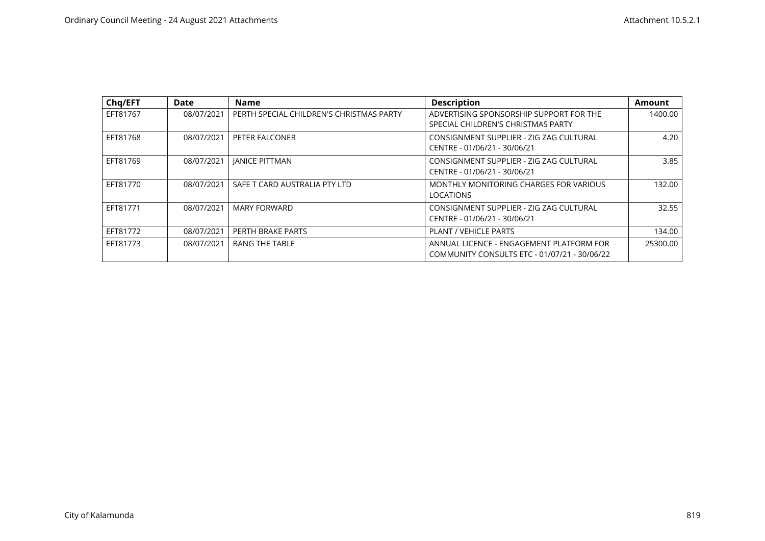| Chq/EFT  | Date       | <b>Name</b>                              | <b>Description</b>                                                                       | <b>Amount</b> |
|----------|------------|------------------------------------------|------------------------------------------------------------------------------------------|---------------|
| EFT81767 | 08/07/2021 | PERTH SPECIAL CHILDREN'S CHRISTMAS PARTY | ADVERTISING SPONSORSHIP SUPPORT FOR THE<br>SPECIAL CHILDREN'S CHRISTMAS PARTY            | 1400.00       |
| EFT81768 | 08/07/2021 | PETER FALCONER                           | CONSIGNMENT SUPPLIER - ZIG ZAG CULTURAL<br>CENTRE - 01/06/21 - 30/06/21                  | 4.20          |
| EFT81769 | 08/07/2021 | <b>IANICE PITTMAN</b>                    | CONSIGNMENT SUPPLIER - ZIG ZAG CULTURAL<br>CENTRE - 01/06/21 - 30/06/21                  | 3.85          |
| EFT81770 | 08/07/2021 | SAFE T CARD AUSTRALIA PTY LTD            | MONTHLY MONITORING CHARGES FOR VARIOUS<br><b>LOCATIONS</b>                               | 132.00        |
| EFT81771 | 08/07/2021 | <b>MARY FORWARD</b>                      | CONSIGNMENT SUPPLIER - ZIG ZAG CULTURAL<br>CENTRE - 01/06/21 - 30/06/21                  | 32.55         |
| EFT81772 | 08/07/2021 | PERTH BRAKE PARTS                        | <b>PLANT / VEHICLE PARTS</b>                                                             | 134.00        |
| EFT81773 | 08/07/2021 | <b>BANG THE TABLE</b>                    | ANNUAL LICENCE - ENGAGEMENT PLATFORM FOR<br>COMMUNITY CONSULTS ETC - 01/07/21 - 30/06/22 | 25300.00      |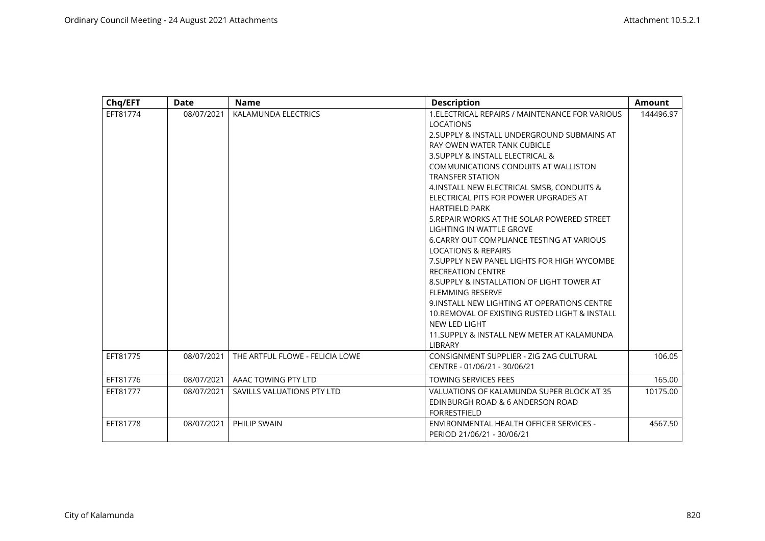| Chq/EFT  | <b>Date</b> | <b>Name</b>                     | <b>Description</b>                                                                                                                                                                                                                                                                                                                                                                                                                                                                                                                                                                                                                                                                                                                                                                                                                                                          | <b>Amount</b> |
|----------|-------------|---------------------------------|-----------------------------------------------------------------------------------------------------------------------------------------------------------------------------------------------------------------------------------------------------------------------------------------------------------------------------------------------------------------------------------------------------------------------------------------------------------------------------------------------------------------------------------------------------------------------------------------------------------------------------------------------------------------------------------------------------------------------------------------------------------------------------------------------------------------------------------------------------------------------------|---------------|
| EFT81774 | 08/07/2021  | KALAMUNDA ELECTRICS             | 1. ELECTRICAL REPAIRS / MAINTENANCE FOR VARIOUS<br><b>LOCATIONS</b><br>2. SUPPLY & INSTALL UNDERGROUND SUBMAINS AT<br>RAY OWEN WATER TANK CUBICLE<br>3. SUPPLY & INSTALL ELECTRICAL &<br>COMMUNICATIONS CONDUITS AT WALLISTON<br><b>TRANSFER STATION</b><br>4. INSTALL NEW ELECTRICAL SMSB, CONDUITS &<br>ELECTRICAL PITS FOR POWER UPGRADES AT<br><b>HARTFIELD PARK</b><br>5. REPAIR WORKS AT THE SOLAR POWERED STREET<br>LIGHTING IN WATTLE GROVE<br>6. CARRY OUT COMPLIANCE TESTING AT VARIOUS<br><b>LOCATIONS &amp; REPAIRS</b><br>7. SUPPLY NEW PANEL LIGHTS FOR HIGH WYCOMBE<br><b>RECREATION CENTRE</b><br>8. SUPPLY & INSTALLATION OF LIGHT TOWER AT<br><b>FLEMMING RESERVE</b><br>9. INSTALL NEW LIGHTING AT OPERATIONS CENTRE<br>10. REMOVAL OF EXISTING RUSTED LIGHT & INSTALL<br>NEW LED LIGHT<br>11. SUPPLY & INSTALL NEW METER AT KALAMUNDA<br><b>LIBRARY</b> | 144496.97     |
| EFT81775 | 08/07/2021  | THE ARTFUL FLOWE - FELICIA LOWE | CONSIGNMENT SUPPLIER - ZIG ZAG CULTURAL<br>CENTRE - 01/06/21 - 30/06/21                                                                                                                                                                                                                                                                                                                                                                                                                                                                                                                                                                                                                                                                                                                                                                                                     | 106.05        |
| EFT81776 | 08/07/2021  | AAAC TOWING PTY LTD             | <b>TOWING SERVICES FEES</b>                                                                                                                                                                                                                                                                                                                                                                                                                                                                                                                                                                                                                                                                                                                                                                                                                                                 | 165.00        |
| EFT81777 | 08/07/2021  | SAVILLS VALUATIONS PTY LTD      | VALUATIONS OF KALAMUNDA SUPER BLOCK AT 35<br>EDINBURGH ROAD & 6 ANDERSON ROAD<br><b>FORRESTFIELD</b>                                                                                                                                                                                                                                                                                                                                                                                                                                                                                                                                                                                                                                                                                                                                                                        | 10175.00      |
| EFT81778 | 08/07/2021  | PHILIP SWAIN                    | ENVIRONMENTAL HEALTH OFFICER SERVICES -<br>PERIOD 21/06/21 - 30/06/21                                                                                                                                                                                                                                                                                                                                                                                                                                                                                                                                                                                                                                                                                                                                                                                                       | 4567.50       |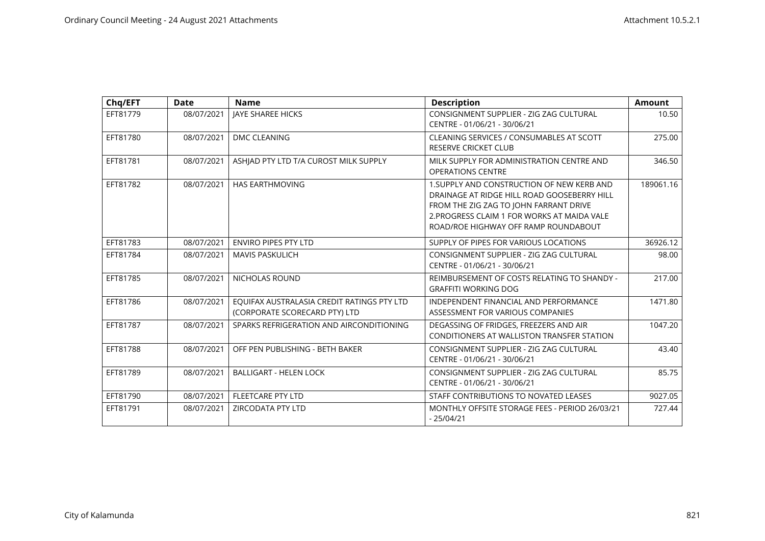| Chq/EFT  | <b>Date</b> | <b>Name</b>                                                                 | <b>Description</b>                                                                                                                                                                                                         | <b>Amount</b> |
|----------|-------------|-----------------------------------------------------------------------------|----------------------------------------------------------------------------------------------------------------------------------------------------------------------------------------------------------------------------|---------------|
| EFT81779 | 08/07/2021  | JAYE SHAREE HICKS                                                           | CONSIGNMENT SUPPLIER - ZIG ZAG CULTURAL<br>CENTRE - 01/06/21 - 30/06/21                                                                                                                                                    | 10.50         |
| EFT81780 | 08/07/2021  | DMC CLEANING                                                                | CLEANING SERVICES / CONSUMABLES AT SCOTT<br><b>RESERVE CRICKET CLUB</b>                                                                                                                                                    | 275.00        |
| EFT81781 | 08/07/2021  | ASHIAD PTY LTD T/A CUROST MILK SUPPLY                                       | MILK SUPPLY FOR ADMINISTRATION CENTRE AND<br><b>OPERATIONS CENTRE</b>                                                                                                                                                      | 346.50        |
| EFT81782 | 08/07/2021  | <b>HAS EARTHMOVING</b>                                                      | 1. SUPPLY AND CONSTRUCTION OF NEW KERB AND<br>DRAINAGE AT RIDGE HILL ROAD GOOSEBERRY HILL<br>FROM THE ZIG ZAG TO JOHN FARRANT DRIVE<br>2. PROGRESS CLAIM 1 FOR WORKS AT MAIDA VALE<br>ROAD/ROE HIGHWAY OFF RAMP ROUNDABOUT | 189061.16     |
| EFT81783 | 08/07/2021  | <b>ENVIRO PIPES PTY LTD</b>                                                 | SUPPLY OF PIPES FOR VARIOUS LOCATIONS                                                                                                                                                                                      | 36926.12      |
| EFT81784 | 08/07/2021  | <b>MAVIS PASKULICH</b>                                                      | CONSIGNMENT SUPPLIER - ZIG ZAG CULTURAL<br>CENTRE - 01/06/21 - 30/06/21                                                                                                                                                    | 98.00         |
| EFT81785 | 08/07/2021  | NICHOLAS ROUND                                                              | REIMBURSEMENT OF COSTS RELATING TO SHANDY -<br><b>GRAFFITI WORKING DOG</b>                                                                                                                                                 | 217.00        |
| EFT81786 | 08/07/2021  | EOUIFAX AUSTRALASIA CREDIT RATINGS PTY LTD<br>(CORPORATE SCORECARD PTY) LTD | INDEPENDENT FINANCIAL AND PERFORMANCE<br>ASSESSMENT FOR VARIOUS COMPANIES                                                                                                                                                  | 1471.80       |
| EFT81787 | 08/07/2021  | SPARKS REFRIGERATION AND AIRCONDITIONING                                    | DEGASSING OF FRIDGES, FREEZERS AND AIR<br>CONDITIONERS AT WALLISTON TRANSFER STATION                                                                                                                                       | 1047.20       |
| EFT81788 | 08/07/2021  | OFF PEN PUBLISHING - BETH BAKER                                             | CONSIGNMENT SUPPLIER - ZIG ZAG CULTURAL<br>CENTRE - 01/06/21 - 30/06/21                                                                                                                                                    | 43.40         |
| EFT81789 | 08/07/2021  | <b>BALLIGART - HELEN LOCK</b>                                               | CONSIGNMENT SUPPLIER - ZIG ZAG CULTURAL<br>CENTRE - 01/06/21 - 30/06/21                                                                                                                                                    | 85.75         |
| EFT81790 | 08/07/2021  | <b>FLEETCARE PTY LTD</b>                                                    | STAFF CONTRIBUTIONS TO NOVATED LEASES                                                                                                                                                                                      | 9027.05       |
| EFT81791 | 08/07/2021  | ZIRCODATA PTY LTD                                                           | MONTHLY OFFSITE STORAGE FEES - PERIOD 26/03/21<br>$-25/04/21$                                                                                                                                                              | 727.44        |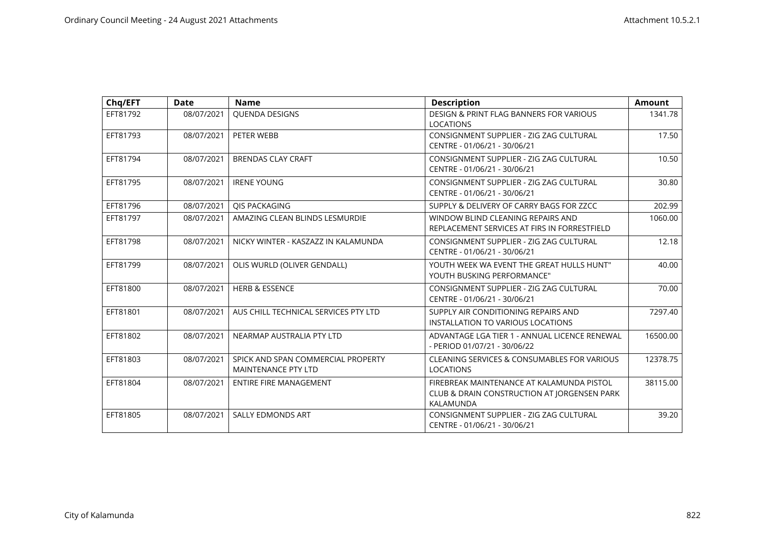| Chq/EFT  | <b>Date</b> | <b>Name</b>                                                      | <b>Description</b>                                                                                    | <b>Amount</b> |
|----------|-------------|------------------------------------------------------------------|-------------------------------------------------------------------------------------------------------|---------------|
| EFT81792 | 08/07/2021  | QUENDA DESIGNS                                                   | DESIGN & PRINT FLAG BANNERS FOR VARIOUS<br><b>LOCATIONS</b>                                           | 1341.78       |
| EFT81793 | 08/07/2021  | PETER WEBB                                                       | CONSIGNMENT SUPPLIER - ZIG ZAG CULTURAL<br>CENTRE - 01/06/21 - 30/06/21                               | 17.50         |
| EFT81794 | 08/07/2021  | <b>BRENDAS CLAY CRAFT</b>                                        | CONSIGNMENT SUPPLIER - ZIG ZAG CULTURAL<br>CENTRE - 01/06/21 - 30/06/21                               | 10.50         |
| EFT81795 | 08/07/2021  | <b>IRENE YOUNG</b>                                               | CONSIGNMENT SUPPLIER - ZIG ZAG CULTURAL<br>CENTRE - 01/06/21 - 30/06/21                               | 30.80         |
| EFT81796 | 08/07/2021  | <b>OIS PACKAGING</b>                                             | SUPPLY & DELIVERY OF CARRY BAGS FOR ZZCC                                                              | 202.99        |
| EFT81797 | 08/07/2021  | AMAZING CLEAN BLINDS LESMURDIE                                   | WINDOW BLIND CLEANING REPAIRS AND<br>REPLACEMENT SERVICES AT FIRS IN FORRESTFIELD                     | 1060.00       |
| EFT81798 | 08/07/2021  | NICKY WINTER - KASZAZZ IN KALAMUNDA                              | CONSIGNMENT SUPPLIER - ZIG ZAG CULTURAL<br>CENTRE - 01/06/21 - 30/06/21                               | 12.18         |
| EFT81799 | 08/07/2021  | OLIS WURLD (OLIVER GENDALL)                                      | YOUTH WEEK WA EVENT THE GREAT HULLS HUNT"<br>YOUTH BUSKING PERFORMANCE"                               | 40.00         |
| EFT81800 | 08/07/2021  | <b>HERB &amp; ESSENCE</b>                                        | CONSIGNMENT SUPPLIER - ZIG ZAG CULTURAL<br>CENTRE - 01/06/21 - 30/06/21                               | 70.00         |
| EFT81801 | 08/07/2021  | AUS CHILL TECHNICAL SERVICES PTY LTD                             | SUPPLY AIR CONDITIONING REPAIRS AND<br>INSTALLATION TO VARIOUS LOCATIONS                              | 7297.40       |
| EFT81802 | 08/07/2021  | NEARMAP AUSTRALIA PTY LTD                                        | ADVANTAGE LGA TIER 1 - ANNUAL LICENCE RENEWAL<br>- PERIOD 01/07/21 - 30/06/22                         | 16500.00      |
| EFT81803 | 08/07/2021  | SPICK AND SPAN COMMERCIAL PROPERTY<br><b>MAINTENANCE PTY LTD</b> | CLEANING SERVICES & CONSUMABLES FOR VARIOUS<br><b>LOCATIONS</b>                                       | 12378.75      |
| EFT81804 | 08/07/2021  | <b>ENTIRE FIRE MANAGEMENT</b>                                    | FIREBREAK MAINTENANCE AT KALAMUNDA PISTOL<br>CLUB & DRAIN CONSTRUCTION AT JORGENSEN PARK<br>KALAMUNDA | 38115.00      |
| EFT81805 | 08/07/2021  | <b>SALLY EDMONDS ART</b>                                         | CONSIGNMENT SUPPLIER - ZIG ZAG CULTURAL<br>CENTRE - 01/06/21 - 30/06/21                               | 39.20         |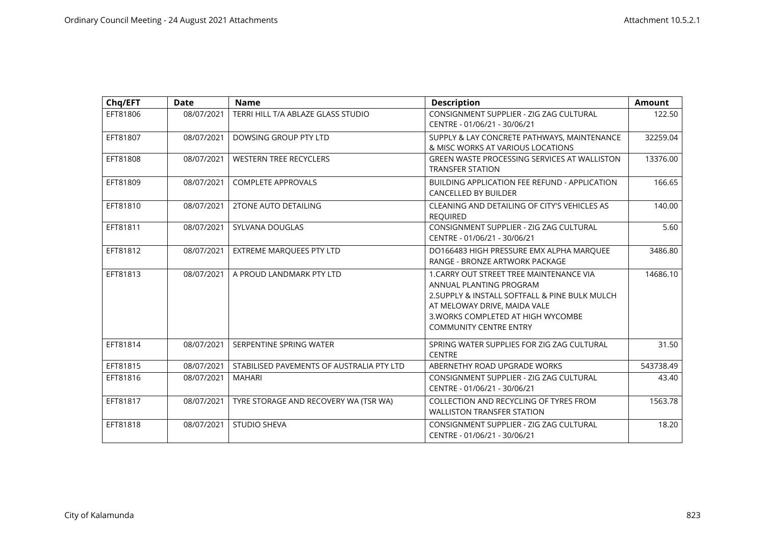| Chq/EFT  | <b>Date</b> | <b>Name</b>                               | <b>Description</b>                                                                                                                                                                                                           | <b>Amount</b> |
|----------|-------------|-------------------------------------------|------------------------------------------------------------------------------------------------------------------------------------------------------------------------------------------------------------------------------|---------------|
| EFT81806 | 08/07/2021  | TERRI HILL T/A ABLAZE GLASS STUDIO        | CONSIGNMENT SUPPLIER - ZIG ZAG CULTURAL<br>CENTRE - 01/06/21 - 30/06/21                                                                                                                                                      | 122.50        |
| EFT81807 | 08/07/2021  | DOWSING GROUP PTY LTD                     | SUPPLY & LAY CONCRETE PATHWAYS, MAINTENANCE<br>& MISC WORKS AT VARIOUS LOCATIONS                                                                                                                                             | 32259.04      |
| EFT81808 | 08/07/2021  | <b>WESTERN TREE RECYCLERS</b>             | <b>GREEN WASTE PROCESSING SERVICES AT WALLISTON</b><br><b>TRANSFER STATION</b>                                                                                                                                               | 13376.00      |
| EFT81809 | 08/07/2021  | <b>COMPLETE APPROVALS</b>                 | <b>BUILDING APPLICATION FEE REFUND - APPLICATION</b><br><b>CANCELLED BY BUILDER</b>                                                                                                                                          | 166.65        |
| EFT81810 | 08/07/2021  | <b>2TONE AUTO DETAILING</b>               | CLEANING AND DETAILING OF CITY'S VEHICLES AS<br><b>REQUIRED</b>                                                                                                                                                              | 140.00        |
| EFT81811 | 08/07/2021  | SYLVANA DOUGLAS                           | CONSIGNMENT SUPPLIER - ZIG ZAG CULTURAL<br>CENTRE - 01/06/21 - 30/06/21                                                                                                                                                      | 5.60          |
| EFT81812 | 08/07/2021  | <b>EXTREME MARQUEES PTY LTD</b>           | DO166483 HIGH PRESSURE EMX ALPHA MARQUEE<br>RANGE - BRONZE ARTWORK PACKAGE                                                                                                                                                   | 3486.80       |
| EFT81813 | 08/07/2021  | A PROUD LANDMARK PTY LTD                  | 1. CARRY OUT STREET TREE MAINTENANCE VIA<br>ANNUAL PLANTING PROGRAM<br>2. SUPPLY & INSTALL SOFTFALL & PINE BULK MULCH<br>AT MELOWAY DRIVE, MAIDA VALE<br>3. WORKS COMPLETED AT HIGH WYCOMBE<br><b>COMMUNITY CENTRE ENTRY</b> | 14686.10      |
| EFT81814 | 08/07/2021  | SERPENTINE SPRING WATER                   | SPRING WATER SUPPLIES FOR ZIG ZAG CULTURAL<br><b>CENTRE</b>                                                                                                                                                                  | 31.50         |
| EFT81815 | 08/07/2021  | STABILISED PAVEMENTS OF AUSTRALIA PTY LTD | ABERNETHY ROAD UPGRADE WORKS                                                                                                                                                                                                 | 543738.49     |
| EFT81816 | 08/07/2021  | <b>MAHARI</b>                             | CONSIGNMENT SUPPLIER - ZIG ZAG CULTURAL<br>CENTRE - 01/06/21 - 30/06/21                                                                                                                                                      | 43.40         |
| EFT81817 | 08/07/2021  | TYRE STORAGE AND RECOVERY WA (TSR WA)     | COLLECTION AND RECYCLING OF TYRES FROM<br><b>WALLISTON TRANSFER STATION</b>                                                                                                                                                  | 1563.78       |
| EFT81818 | 08/07/2021  | <b>STUDIO SHEVA</b>                       | CONSIGNMENT SUPPLIER - ZIG ZAG CULTURAL<br>CENTRE - 01/06/21 - 30/06/21                                                                                                                                                      | 18.20         |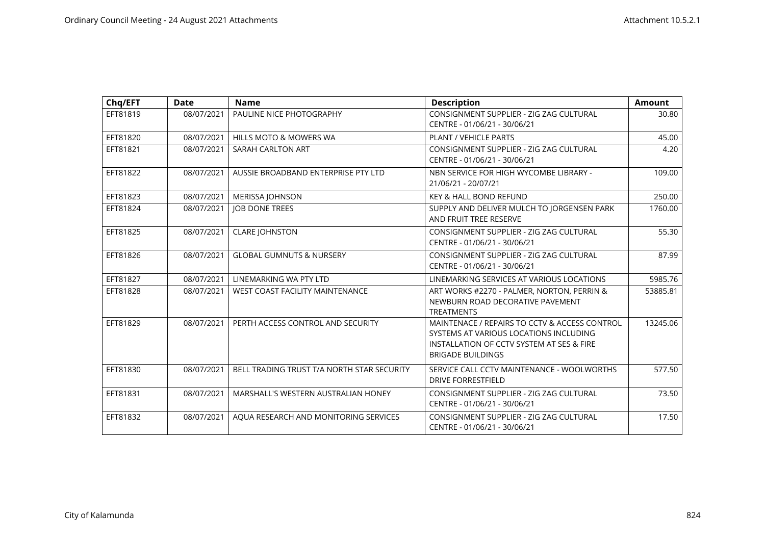| Chq/EFT  | <b>Date</b> | <b>Name</b>                                | <b>Description</b>                                                                                                                                               | <b>Amount</b> |
|----------|-------------|--------------------------------------------|------------------------------------------------------------------------------------------------------------------------------------------------------------------|---------------|
| EFT81819 | 08/07/2021  | PAULINE NICE PHOTOGRAPHY                   | CONSIGNMENT SUPPLIER - ZIG ZAG CULTURAL<br>CENTRE - 01/06/21 - 30/06/21                                                                                          | 30.80         |
| EFT81820 | 08/07/2021  | <b>HILLS MOTO &amp; MOWERS WA</b>          | <b>PLANT / VEHICLE PARTS</b>                                                                                                                                     | 45.00         |
| EFT81821 | 08/07/2021  | SARAH CARLTON ART                          | CONSIGNMENT SUPPLIER - ZIG ZAG CULTURAL<br>CENTRE - 01/06/21 - 30/06/21                                                                                          | 4.20          |
| EFT81822 | 08/07/2021  | AUSSIE BROADBAND ENTERPRISE PTY LTD        | NBN SERVICE FOR HIGH WYCOMBE LIBRARY -<br>21/06/21 - 20/07/21                                                                                                    | 109.00        |
| EFT81823 | 08/07/2021  | <b>MERISSA JOHNSON</b>                     | <b>KEY &amp; HALL BOND REFUND</b>                                                                                                                                | 250.00        |
| EFT81824 | 08/07/2021  | <b>JOB DONE TREES</b>                      | SUPPLY AND DELIVER MULCH TO JORGENSEN PARK<br>AND FRUIT TREE RESERVE                                                                                             | 1760.00       |
| EFT81825 | 08/07/2021  | <b>CLARE JOHNSTON</b>                      | CONSIGNMENT SUPPLIER - ZIG ZAG CULTURAL<br>CENTRE - 01/06/21 - 30/06/21                                                                                          | 55.30         |
| EFT81826 | 08/07/2021  | <b>GLOBAL GUMNUTS &amp; NURSERY</b>        | CONSIGNMENT SUPPLIER - ZIG ZAG CULTURAL<br>CENTRE - 01/06/21 - 30/06/21                                                                                          | 87.99         |
| EFT81827 | 08/07/2021  | LINEMARKING WA PTY LTD                     | LINEMARKING SERVICES AT VARIOUS LOCATIONS                                                                                                                        | 5985.76       |
| EFT81828 | 08/07/2021  | <b>WEST COAST FACILITY MAINTENANCE</b>     | ART WORKS #2270 - PALMER, NORTON, PERRIN &<br>NEWBURN ROAD DECORATIVE PAVEMENT<br><b>TREATMENTS</b>                                                              | 53885.81      |
| EFT81829 | 08/07/2021  | PERTH ACCESS CONTROL AND SECURITY          | MAINTENACE / REPAIRS TO CCTV & ACCESS CONTROL<br>SYSTEMS AT VARIOUS LOCATIONS INCLUDING<br>INSTALLATION OF CCTV SYSTEM AT SES & FIRE<br><b>BRIGADE BUILDINGS</b> | 13245.06      |
| EFT81830 | 08/07/2021  | BELL TRADING TRUST T/A NORTH STAR SECURITY | SERVICE CALL CCTV MAINTENANCE - WOOLWORTHS<br><b>DRIVE FORRESTFIELD</b>                                                                                          | 577.50        |
| EFT81831 | 08/07/2021  | MARSHALL'S WESTERN AUSTRALIAN HONEY        | CONSIGNMENT SUPPLIER - ZIG ZAG CULTURAL<br>CENTRE - 01/06/21 - 30/06/21                                                                                          | 73.50         |
| EFT81832 | 08/07/2021  | AQUA RESEARCH AND MONITORING SERVICES      | CONSIGNMENT SUPPLIER - ZIG ZAG CULTURAL<br>CENTRE - 01/06/21 - 30/06/21                                                                                          | 17.50         |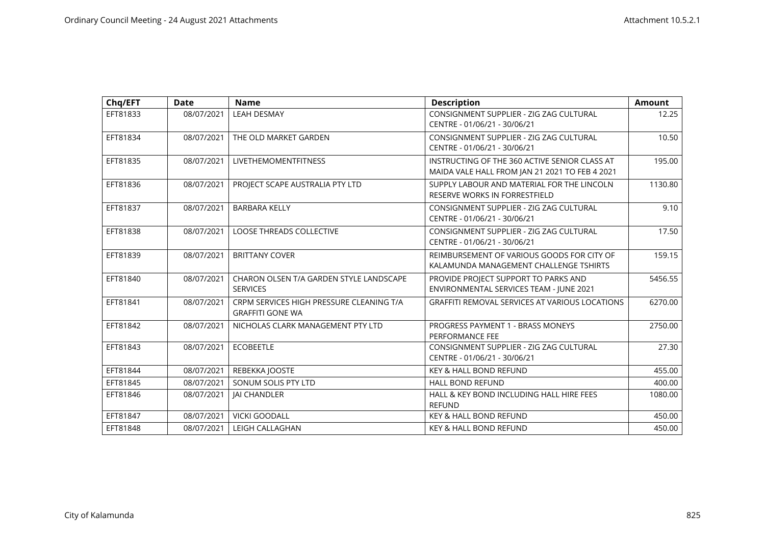| Chq/EFT  | <b>Date</b> | <b>Name</b>                                                         | <b>Description</b>                                                                              | <b>Amount</b> |
|----------|-------------|---------------------------------------------------------------------|-------------------------------------------------------------------------------------------------|---------------|
| EFT81833 | 08/07/2021  | <b>LEAH DESMAY</b>                                                  | CONSIGNMENT SUPPLIER - ZIG ZAG CULTURAL<br>CENTRE - 01/06/21 - 30/06/21                         | 12.25         |
| EFT81834 | 08/07/2021  | THE OLD MARKET GARDEN                                               | CONSIGNMENT SUPPLIER - ZIG ZAG CULTURAL<br>CENTRE - 01/06/21 - 30/06/21                         | 10.50         |
| EFT81835 | 08/07/2021  | <b>LIVETHEMOMENTFITNESS</b>                                         | INSTRUCTING OF THE 360 ACTIVE SENIOR CLASS AT<br>MAIDA VALE HALL FROM JAN 21 2021 TO FEB 4 2021 | 195.00        |
| EFT81836 | 08/07/2021  | PROJECT SCAPE AUSTRALIA PTY LTD                                     | SUPPLY LABOUR AND MATERIAL FOR THE LINCOLN<br>RESERVE WORKS IN FORRESTFIELD                     | 1130.80       |
| EFT81837 | 08/07/2021  | <b>BARBARA KELLY</b>                                                | CONSIGNMENT SUPPLIER - ZIG ZAG CULTURAL<br>CENTRE - 01/06/21 - 30/06/21                         | 9.10          |
| EFT81838 | 08/07/2021  | <b>LOOSE THREADS COLLECTIVE</b>                                     | CONSIGNMENT SUPPLIER - ZIG ZAG CULTURAL<br>CENTRE - 01/06/21 - 30/06/21                         | 17.50         |
| EFT81839 | 08/07/2021  | <b>BRITTANY COVER</b>                                               | REIMBURSEMENT OF VARIOUS GOODS FOR CITY OF<br>KALAMUNDA MANAGEMENT CHALLENGE TSHIRTS            | 159.15        |
| EFT81840 | 08/07/2021  | CHARON OLSEN T/A GARDEN STYLE LANDSCAPE<br><b>SERVICES</b>          | PROVIDE PROJECT SUPPORT TO PARKS AND<br>ENVIRONMENTAL SERVICES TEAM - JUNE 2021                 | 5456.55       |
| EFT81841 | 08/07/2021  | CRPM SERVICES HIGH PRESSURE CLEANING T/A<br><b>GRAFFITI GONE WA</b> | <b>GRAFFITI REMOVAL SERVICES AT VARIOUS LOCATIONS</b>                                           | 6270.00       |
| EFT81842 | 08/07/2021  | NICHOLAS CLARK MANAGEMENT PTY LTD                                   | PROGRESS PAYMENT 1 - BRASS MONEYS<br>PERFORMANCE FEE                                            | 2750.00       |
| EFT81843 | 08/07/2021  | <b>ECOBEETLE</b>                                                    | CONSIGNMENT SUPPLIER - ZIG ZAG CULTURAL<br>CENTRE - 01/06/21 - 30/06/21                         | 27.30         |
| EFT81844 | 08/07/2021  | REBEKKA JOOSTE                                                      | <b>KEY &amp; HALL BOND REFUND</b>                                                               | 455.00        |
| EFT81845 | 08/07/2021  | SONUM SOLIS PTY LTD                                                 | <b>HALL BOND REFUND</b>                                                                         | 400.00        |
| EFT81846 | 08/07/2021  | <b>IAI CHANDLER</b>                                                 | HALL & KEY BOND INCLUDING HALL HIRE FEES<br><b>REFUND</b>                                       | 1080.00       |
| EFT81847 | 08/07/2021  | <b>VICKI GOODALL</b>                                                | <b>KEY &amp; HALL BOND REFUND</b>                                                               | 450.00        |
| EFT81848 | 08/07/2021  | LEIGH CALLAGHAN                                                     | <b>KEY &amp; HALL BOND REFUND</b>                                                               | 450.00        |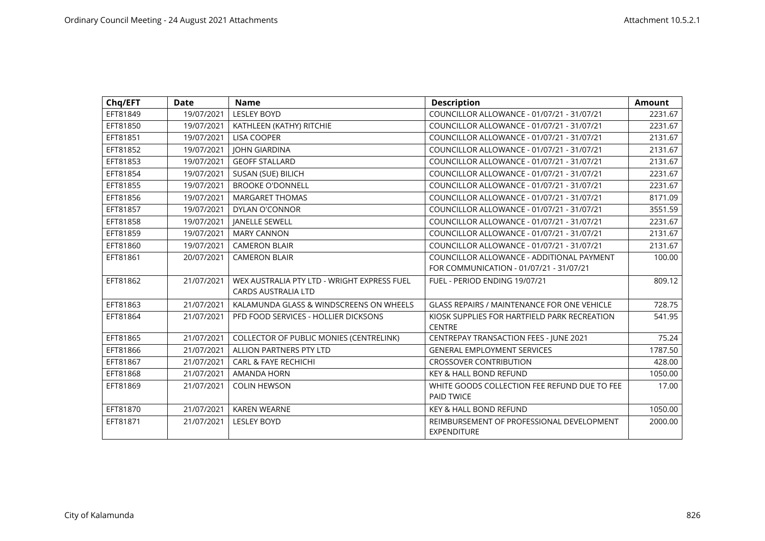| Chq/EFT  | <b>Date</b> | <b>Name</b>                                 | <b>Description</b>                                 | <b>Amount</b> |
|----------|-------------|---------------------------------------------|----------------------------------------------------|---------------|
| EFT81849 | 19/07/2021  | <b>LESLEY BOYD</b>                          | COUNCILLOR ALLOWANCE - 01/07/21 - 31/07/21         | 2231.67       |
| EFT81850 | 19/07/2021  | KATHLEEN (KATHY) RITCHIE                    | COUNCILLOR ALLOWANCE - 01/07/21 - 31/07/21         | 2231.67       |
| EFT81851 | 19/07/2021  | <b>LISA COOPER</b>                          | COUNCILLOR ALLOWANCE - 01/07/21 - 31/07/21         | 2131.67       |
| EFT81852 | 19/07/2021  | <b>JOHN GIARDINA</b>                        | COUNCILLOR ALLOWANCE - 01/07/21 - 31/07/21         | 2131.67       |
| EFT81853 | 19/07/2021  | <b>GEOFF STALLARD</b>                       | COUNCILLOR ALLOWANCE - 01/07/21 - 31/07/21         | 2131.67       |
| EFT81854 | 19/07/2021  | SUSAN (SUE) BILICH                          | COUNCILLOR ALLOWANCE - 01/07/21 - 31/07/21         | 2231.67       |
| EFT81855 | 19/07/2021  | <b>BROOKE O'DONNELL</b>                     | COUNCILLOR ALLOWANCE - 01/07/21 - 31/07/21         | 2231.67       |
| EFT81856 | 19/07/2021  | <b>MARGARET THOMAS</b>                      | COUNCILLOR ALLOWANCE - 01/07/21 - 31/07/21         | 8171.09       |
| EFT81857 | 19/07/2021  | DYLAN O'CONNOR                              | COUNCILLOR ALLOWANCE - 01/07/21 - 31/07/21         | 3551.59       |
| EFT81858 | 19/07/2021  | <b>JANELLE SEWELL</b>                       | COUNCILLOR ALLOWANCE - 01/07/21 - 31/07/21         | 2231.67       |
| EFT81859 | 19/07/2021  | <b>MARY CANNON</b>                          | COUNCILLOR ALLOWANCE - 01/07/21 - 31/07/21         | 2131.67       |
| EFT81860 | 19/07/2021  | <b>CAMERON BLAIR</b>                        | COUNCILLOR ALLOWANCE - 01/07/21 - 31/07/21         | 2131.67       |
| EFT81861 | 20/07/2021  | <b>CAMERON BLAIR</b>                        | COUNCILLOR ALLOWANCE - ADDITIONAL PAYMENT          | 100.00        |
|          |             |                                             | FOR COMMUNICATION - 01/07/21 - 31/07/21            |               |
| EFT81862 | 21/07/2021  | WEX AUSTRALIA PTY LTD - WRIGHT EXPRESS FUEL | FUEL - PERIOD ENDING 19/07/21                      | 809.12        |
|          |             | <b>CARDS AUSTRALIA LTD</b>                  |                                                    |               |
| EFT81863 | 21/07/2021  | KALAMUNDA GLASS & WINDSCREENS ON WHEELS     | <b>GLASS REPAIRS / MAINTENANCE FOR ONE VEHICLE</b> | 728.75        |
| EFT81864 | 21/07/2021  | PFD FOOD SERVICES - HOLLIER DICKSONS        | KIOSK SUPPLIES FOR HARTFIELD PARK RECREATION       | 541.95        |
|          |             |                                             | <b>CENTRE</b>                                      |               |
| EFT81865 | 21/07/2021  | COLLECTOR OF PUBLIC MONIES (CENTRELINK)     | CENTREPAY TRANSACTION FEES - JUNE 2021             | 75.24         |
| EFT81866 | 21/07/2021  | <b>ALLION PARTNERS PTY LTD</b>              | <b>GENERAL EMPLOYMENT SERVICES</b>                 | 1787.50       |
| EFT81867 | 21/07/2021  | <b>CARL &amp; FAYE RECHICHI</b>             | <b>CROSSOVER CONTRIBUTION</b>                      | 428.00        |
| EFT81868 | 21/07/2021  | <b>AMANDA HORN</b>                          | <b>KEY &amp; HALL BOND REFUND</b>                  | 1050.00       |
| EFT81869 | 21/07/2021  | <b>COLIN HEWSON</b>                         | WHITE GOODS COLLECTION FEE REFUND DUE TO FEE       | 17.00         |
|          |             |                                             | PAID TWICE                                         |               |
| EFT81870 | 21/07/2021  | <b>KAREN WEARNE</b>                         | <b>KEY &amp; HALL BOND REFUND</b>                  | 1050.00       |
| EFT81871 | 21/07/2021  | <b>LESLEY BOYD</b>                          | REIMBURSEMENT OF PROFESSIONAL DEVELOPMENT          | 2000.00       |
|          |             |                                             | <b>EXPENDITURE</b>                                 |               |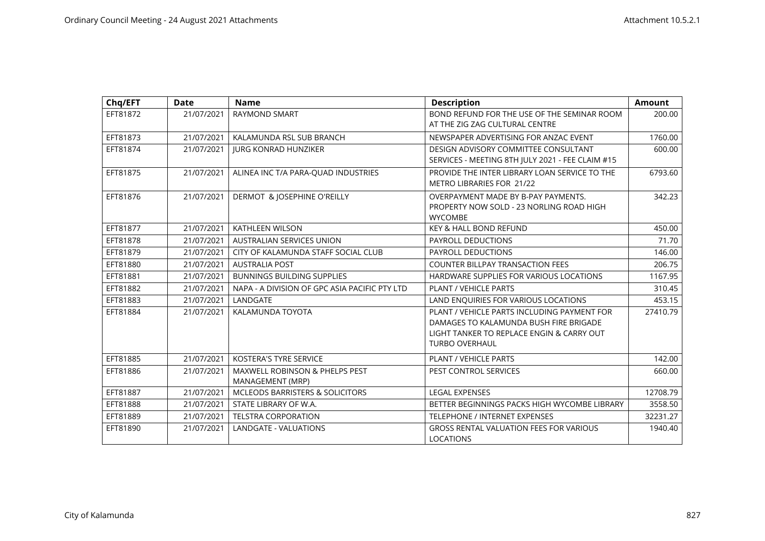| Chq/EFT  | <b>Date</b> | <b>Name</b>                                        | <b>Description</b>                                                                                                                                          | <b>Amount</b> |
|----------|-------------|----------------------------------------------------|-------------------------------------------------------------------------------------------------------------------------------------------------------------|---------------|
| EFT81872 | 21/07/2021  | <b>RAYMOND SMART</b>                               | BOND REFUND FOR THE USE OF THE SEMINAR ROOM<br>AT THE ZIG ZAG CULTURAL CENTRE                                                                               | 200.00        |
| EFT81873 | 21/07/2021  | KALAMUNDA RSL SUB BRANCH                           | NEWSPAPER ADVERTISING FOR ANZAC EVENT                                                                                                                       | 1760.00       |
| EFT81874 | 21/07/2021  | <b>JURG KONRAD HUNZIKER</b>                        | <b>DESIGN ADVISORY COMMITTEE CONSULTANT</b><br>SERVICES - MEETING 8TH JULY 2021 - FEE CLAIM #15                                                             | 600.00        |
| EFT81875 | 21/07/2021  | ALINEA INC T/A PARA-QUAD INDUSTRIES                | PROVIDE THE INTER LIBRARY LOAN SERVICE TO THE<br>METRO LIBRARIES FOR 21/22                                                                                  | 6793.60       |
| EFT81876 | 21/07/2021  | DERMOT & JOSEPHINE O'REILLY                        | OVERPAYMENT MADE BY B-PAY PAYMENTS.<br>PROPERTY NOW SOLD - 23 NORLING ROAD HIGH<br><b>WYCOMBE</b>                                                           | 342.23        |
| EFT81877 | 21/07/2021  | <b>KATHLEEN WILSON</b>                             | <b>KEY &amp; HALL BOND REFUND</b>                                                                                                                           | 450.00        |
| EFT81878 | 21/07/2021  | AUSTRALIAN SERVICES UNION                          | PAYROLL DEDUCTIONS                                                                                                                                          | 71.70         |
| EFT81879 | 21/07/2021  | CITY OF KALAMUNDA STAFF SOCIAL CLUB                | PAYROLL DEDUCTIONS                                                                                                                                          | 146.00        |
| EFT81880 | 21/07/2021  | <b>AUSTRALIA POST</b>                              | <b>COUNTER BILLPAY TRANSACTION FEES</b>                                                                                                                     | 206.75        |
| EFT81881 | 21/07/2021  | <b>BUNNINGS BUILDING SUPPLIES</b>                  | HARDWARE SUPPLIES FOR VARIOUS LOCATIONS                                                                                                                     | 1167.95       |
| EFT81882 | 21/07/2021  | NAPA - A DIVISION OF GPC ASIA PACIFIC PTY LTD      | <b>PLANT / VEHICLE PARTS</b>                                                                                                                                | 310.45        |
| EFT81883 | 21/07/2021  | LANDGATE                                           | LAND ENQUIRIES FOR VARIOUS LOCATIONS                                                                                                                        | 453.15        |
| EFT81884 | 21/07/2021  | KALAMUNDA TOYOTA                                   | PLANT / VEHICLE PARTS INCLUDING PAYMENT FOR<br>DAMAGES TO KALAMUNDA BUSH FIRE BRIGADE<br>LIGHT TANKER TO REPLACE ENGIN & CARRY OUT<br><b>TURBO OVERHAUL</b> | 27410.79      |
| EFT81885 | 21/07/2021  | <b>KOSTERA'S TYRE SERVICE</b>                      | <b>PLANT / VEHICLE PARTS</b>                                                                                                                                | 142.00        |
| EFT81886 | 21/07/2021  | MAXWELL ROBINSON & PHELPS PEST<br>MANAGEMENT (MRP) | PEST CONTROL SERVICES                                                                                                                                       | 660.00        |
| EFT81887 | 21/07/2021  | <b>MCLEODS BARRISTERS &amp; SOLICITORS</b>         | <b>LEGAL EXPENSES</b>                                                                                                                                       | 12708.79      |
| EFT81888 | 21/07/2021  | STATE LIBRARY OF W.A.                              | BETTER BEGINNINGS PACKS HIGH WYCOMBE LIBRARY                                                                                                                | 3558.50       |
| EFT81889 | 21/07/2021  | <b>TELSTRA CORPORATION</b>                         | TELEPHONE / INTERNET EXPENSES                                                                                                                               | 32231.27      |
| EFT81890 | 21/07/2021  | <b>LANDGATE - VALUATIONS</b>                       | <b>GROSS RENTAL VALUATION FEES FOR VARIOUS</b><br><b>LOCATIONS</b>                                                                                          | 1940.40       |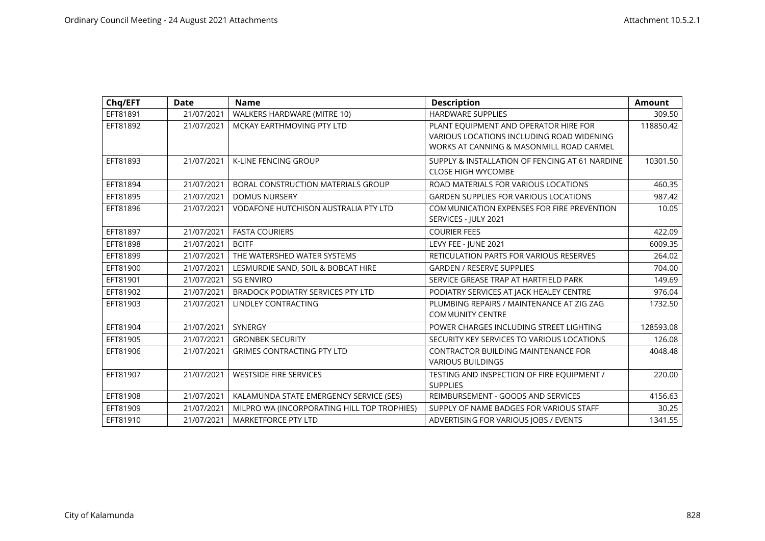| Chq/EFT  | <b>Date</b> | <b>Name</b>                                 | <b>Description</b>                                                                                                             | <b>Amount</b> |
|----------|-------------|---------------------------------------------|--------------------------------------------------------------------------------------------------------------------------------|---------------|
| EFT81891 | 21/07/2021  | WALKERS HARDWARE (MITRE 10)                 | <b>HARDWARE SUPPLIES</b>                                                                                                       | 309.50        |
| EFT81892 | 21/07/2021  | MCKAY EARTHMOVING PTY LTD                   | PLANT EQUIPMENT AND OPERATOR HIRE FOR<br>VARIOUS LOCATIONS INCLUDING ROAD WIDENING<br>WORKS AT CANNING & MASONMILL ROAD CARMEL | 118850.42     |
| EFT81893 | 21/07/2021  | <b>K-LINE FENCING GROUP</b>                 | SUPPLY & INSTALLATION OF FENCING AT 61 NARDINE<br><b>CLOSE HIGH WYCOMBE</b>                                                    | 10301.50      |
| EFT81894 | 21/07/2021  | BORAL CONSTRUCTION MATERIALS GROUP          | ROAD MATERIALS FOR VARIOUS LOCATIONS                                                                                           | 460.35        |
| EFT81895 | 21/07/2021  | <b>DOMUS NURSERY</b>                        | <b>GARDEN SUPPLIES FOR VARIOUS LOCATIONS</b>                                                                                   | 987.42        |
| EFT81896 | 21/07/2021  | <b>VODAFONE HUTCHISON AUSTRALIA PTY LTD</b> | COMMUNICATION EXPENSES FOR FIRE PREVENTION<br>SERVICES - JULY 2021                                                             | 10.05         |
| EFT81897 | 21/07/2021  | <b>FASTA COURIERS</b>                       | <b>COURIER FEES</b>                                                                                                            | 422.09        |
| EFT81898 | 21/07/2021  | <b>BCITF</b>                                | LEVY FEE - JUNE 2021                                                                                                           | 6009.35       |
| EFT81899 | 21/07/2021  | THE WATERSHED WATER SYSTEMS                 | RETICULATION PARTS FOR VARIOUS RESERVES                                                                                        | 264.02        |
| EFT81900 | 21/07/2021  | LESMURDIE SAND, SOIL & BOBCAT HIRE          | <b>GARDEN / RESERVE SUPPLIES</b>                                                                                               | 704.00        |
| EFT81901 | 21/07/2021  | <b>SG ENVIRO</b>                            | SERVICE GREASE TRAP AT HARTFIELD PARK                                                                                          | 149.69        |
| EFT81902 | 21/07/2021  | BRADOCK PODIATRY SERVICES PTY LTD           | PODIATRY SERVICES AT JACK HEALEY CENTRE                                                                                        | 976.04        |
| EFT81903 | 21/07/2021  | <b>LINDLEY CONTRACTING</b>                  | PLUMBING REPAIRS / MAINTENANCE AT ZIG ZAG<br><b>COMMUNITY CENTRE</b>                                                           | 1732.50       |
| EFT81904 | 21/07/2021  | <b>SYNERGY</b>                              | POWER CHARGES INCLUDING STREET LIGHTING                                                                                        | 128593.08     |
| EFT81905 | 21/07/2021  | <b>GRONBEK SECURITY</b>                     | SECURITY KEY SERVICES TO VARIOUS LOCATIONS                                                                                     | 126.08        |
| EFT81906 | 21/07/2021  | <b>GRIMES CONTRACTING PTY LTD</b>           | <b>CONTRACTOR BUILDING MAINTENANCE FOR</b><br><b>VARIOUS BUILDINGS</b>                                                         | 4048.48       |
| EFT81907 | 21/07/2021  | <b>WESTSIDE FIRE SERVICES</b>               | TESTING AND INSPECTION OF FIRE EQUIPMENT /<br><b>SUPPLIES</b>                                                                  | 220.00        |
| EFT81908 | 21/07/2021  | KALAMUNDA STATE EMERGENCY SERVICE (SES)     | REIMBURSEMENT - GOODS AND SERVICES                                                                                             | 4156.63       |
| EFT81909 | 21/07/2021  | MILPRO WA (INCORPORATING HILL TOP TROPHIES) | SUPPLY OF NAME BADGES FOR VARIOUS STAFF                                                                                        | 30.25         |
| EFT81910 | 21/07/2021  | <b>MARKETFORCE PTY LTD</b>                  | ADVERTISING FOR VARIOUS JOBS / EVENTS                                                                                          | 1341.55       |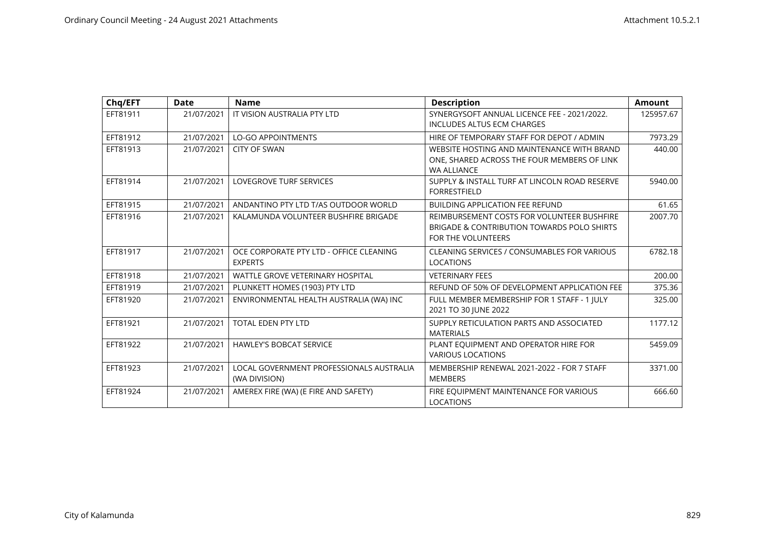| Chq/EFT  | <b>Date</b> | <b>Name</b>                                               | <b>Description</b>                                                                                              | <b>Amount</b> |
|----------|-------------|-----------------------------------------------------------|-----------------------------------------------------------------------------------------------------------------|---------------|
| EFT81911 | 21/07/2021  | IT VISION AUSTRALIA PTY LTD                               | SYNERGYSOFT ANNUAL LICENCE FEE - 2021/2022.<br><b>INCLUDES ALTUS ECM CHARGES</b>                                | 125957.67     |
| EFT81912 | 21/07/2021  | <b>LO-GO APPOINTMENTS</b>                                 | HIRE OF TEMPORARY STAFF FOR DEPOT / ADMIN                                                                       | 7973.29       |
| EFT81913 | 21/07/2021  | <b>CITY OF SWAN</b>                                       | WEBSITE HOSTING AND MAINTENANCE WITH BRAND<br>ONE, SHARED ACROSS THE FOUR MEMBERS OF LINK<br><b>WA ALLIANCE</b> | 440.00        |
| EFT81914 | 21/07/2021  | <b>LOVEGROVE TURF SERVICES</b>                            | SUPPLY & INSTALL TURF AT LINCOLN ROAD RESERVE<br><b>FORRESTFIELD</b>                                            | 5940.00       |
| EFT81915 | 21/07/2021  | ANDANTINO PTY LTD T/AS OUTDOOR WORLD                      | <b>BUILDING APPLICATION FEE REFUND</b>                                                                          | 61.65         |
| EFT81916 | 21/07/2021  | KALAMUNDA VOLUNTEER BUSHFIRE BRIGADE                      | REIMBURSEMENT COSTS FOR VOLUNTEER BUSHFIRE<br>BRIGADE & CONTRIBUTION TOWARDS POLO SHIRTS<br>FOR THE VOLUNTEERS  | 2007.70       |
| EFT81917 | 21/07/2021  | OCE CORPORATE PTY LTD - OFFICE CLEANING<br><b>EXPERTS</b> | CLEANING SERVICES / CONSUMABLES FOR VARIOUS<br><b>LOCATIONS</b>                                                 | 6782.18       |
| EFT81918 | 21/07/2021  | <b>WATTLE GROVE VETERINARY HOSPITAL</b>                   | <b>VETERINARY FEES</b>                                                                                          | 200.00        |
| EFT81919 | 21/07/2021  | PLUNKETT HOMES (1903) PTY LTD                             | REFUND OF 50% OF DEVELOPMENT APPLICATION FEE                                                                    | 375.36        |
| EFT81920 | 21/07/2021  | ENVIRONMENTAL HEALTH AUSTRALIA (WA) INC                   | FULL MEMBER MEMBERSHIP FOR 1 STAFF - 1 JULY<br>2021 TO 30 JUNE 2022                                             | 325.00        |
| EFT81921 | 21/07/2021  | <b>TOTAL EDEN PTY LTD</b>                                 | SUPPLY RETICULATION PARTS AND ASSOCIATED<br><b>MATERIALS</b>                                                    | 1177.12       |
| EFT81922 | 21/07/2021  | <b>HAWLEY'S BOBCAT SERVICE</b>                            | PLANT EQUIPMENT AND OPERATOR HIRE FOR<br><b>VARIOUS LOCATIONS</b>                                               | 5459.09       |
| EFT81923 | 21/07/2021  | LOCAL GOVERNMENT PROFESSIONALS AUSTRALIA<br>(WA DIVISION) | MEMBERSHIP RENEWAL 2021-2022 - FOR 7 STAFF<br><b>MEMBERS</b>                                                    | 3371.00       |
| EFT81924 | 21/07/2021  | AMEREX FIRE (WA) (E FIRE AND SAFETY)                      | FIRE EQUIPMENT MAINTENANCE FOR VARIOUS<br><b>LOCATIONS</b>                                                      | 666.60        |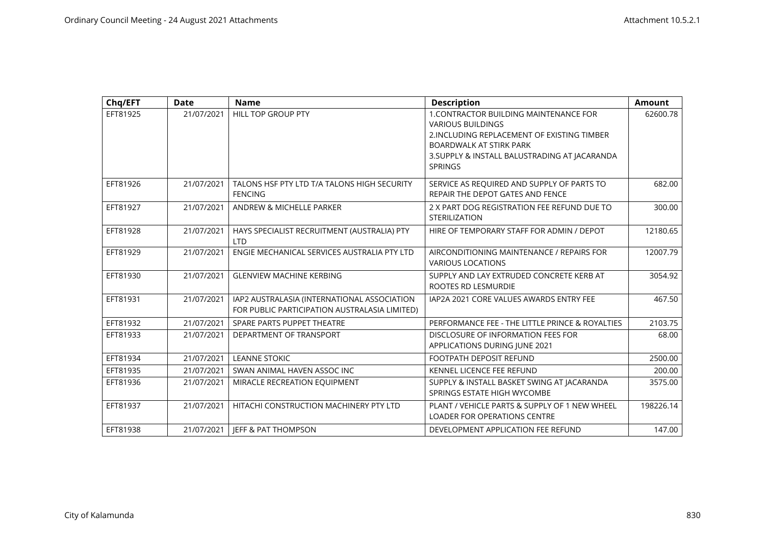| Chq/EFT  | <b>Date</b> | <b>Name</b>                                                                                  | <b>Description</b>                                                                                                                                                                                                     | <b>Amount</b> |
|----------|-------------|----------------------------------------------------------------------------------------------|------------------------------------------------------------------------------------------------------------------------------------------------------------------------------------------------------------------------|---------------|
| EFT81925 | 21/07/2021  | HILL TOP GROUP PTY                                                                           | 1. CONTRACTOR BUILDING MAINTENANCE FOR<br><b>VARIOUS BUILDINGS</b><br>2. INCLUDING REPLACEMENT OF EXISTING TIMBER<br><b>BOARDWALK AT STIRK PARK</b><br>3. SUPPLY & INSTALL BALUSTRADING AT JACARANDA<br><b>SPRINGS</b> | 62600.78      |
| EFT81926 | 21/07/2021  | TALONS HSF PTY LTD T/A TALONS HIGH SECURITY<br><b>FENCING</b>                                | SERVICE AS REQUIRED AND SUPPLY OF PARTS TO<br>REPAIR THE DEPOT GATES AND FENCE                                                                                                                                         | 682.00        |
| EFT81927 | 21/07/2021  | ANDREW & MICHELLE PARKER                                                                     | 2 X PART DOG REGISTRATION FEE REFUND DUE TO<br><b>STERILIZATION</b>                                                                                                                                                    | 300.00        |
| EFT81928 | 21/07/2021  | HAYS SPECIALIST RECRUITMENT (AUSTRALIA) PTY<br><b>LTD</b>                                    | HIRE OF TEMPORARY STAFF FOR ADMIN / DEPOT                                                                                                                                                                              | 12180.65      |
| EFT81929 | 21/07/2021  | ENGIE MECHANICAL SERVICES AUSTRALIA PTY LTD                                                  | AIRCONDITIONING MAINTENANCE / REPAIRS FOR<br><b>VARIOUS LOCATIONS</b>                                                                                                                                                  | 12007.79      |
| EFT81930 | 21/07/2021  | <b>GLENVIEW MACHINE KERBING</b>                                                              | SUPPLY AND LAY EXTRUDED CONCRETE KERB AT<br>ROOTES RD LESMURDIE                                                                                                                                                        | 3054.92       |
| EFT81931 | 21/07/2021  | IAP2 AUSTRALASIA (INTERNATIONAL ASSOCIATION<br>FOR PUBLIC PARTICIPATION AUSTRALASIA LIMITED) | IAP2A 2021 CORE VALUES AWARDS ENTRY FEE                                                                                                                                                                                | 467.50        |
| EFT81932 | 21/07/2021  | SPARE PARTS PUPPET THEATRE                                                                   | PERFORMANCE FEE - THE LITTLE PRINCE & ROYALTIES                                                                                                                                                                        | 2103.75       |
| EFT81933 | 21/07/2021  | DEPARTMENT OF TRANSPORT                                                                      | DISCLOSURE OF INFORMATION FEES FOR<br>APPLICATIONS DURING JUNE 2021                                                                                                                                                    | 68.00         |
| EFT81934 | 21/07/2021  | <b>LEANNE STOKIC</b>                                                                         | <b>FOOTPATH DEPOSIT REFUND</b>                                                                                                                                                                                         | 2500.00       |
| EFT81935 | 21/07/2021  | SWAN ANIMAL HAVEN ASSOC INC                                                                  | KENNEL LICENCE FEE REFUND                                                                                                                                                                                              | 200.00        |
| EFT81936 | 21/07/2021  | MIRACLE RECREATION EQUIPMENT                                                                 | SUPPLY & INSTALL BASKET SWING AT JACARANDA<br>SPRINGS ESTATE HIGH WYCOMBE                                                                                                                                              | 3575.00       |
| EFT81937 | 21/07/2021  | HITACHI CONSTRUCTION MACHINERY PTY LTD                                                       | PLANT / VEHICLE PARTS & SUPPLY OF 1 NEW WHEEL<br><b>LOADER FOR OPERATIONS CENTRE</b>                                                                                                                                   | 198226.14     |
| EFT81938 | 21/07/2021  | JEFF & PAT THOMPSON                                                                          | DEVELOPMENT APPLICATION FEE REFUND                                                                                                                                                                                     | 147.00        |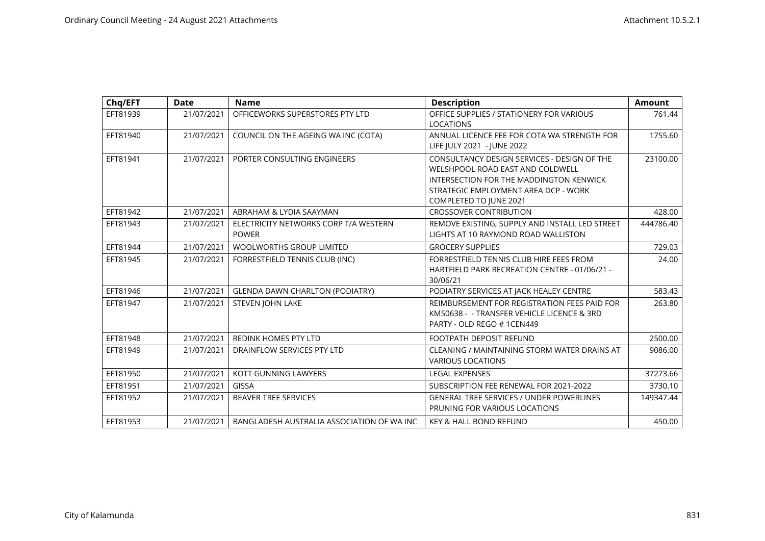| Chq/EFT  | <b>Date</b> | <b>Name</b>                                           | <b>Description</b>                                                                                                                                                                                  | <b>Amount</b> |
|----------|-------------|-------------------------------------------------------|-----------------------------------------------------------------------------------------------------------------------------------------------------------------------------------------------------|---------------|
| EFT81939 | 21/07/2021  | OFFICEWORKS SUPERSTORES PTY LTD                       | OFFICE SUPPLIES / STATIONERY FOR VARIOUS<br><b>LOCATIONS</b>                                                                                                                                        | 761.44        |
| EFT81940 | 21/07/2021  | COUNCIL ON THE AGEING WA INC (COTA)                   | ANNUAL LICENCE FEE FOR COTA WA STRENGTH FOR<br>LIFE JULY 2021 - JUNE 2022                                                                                                                           | 1755.60       |
| EFT81941 | 21/07/2021  | PORTER CONSULTING ENGINEERS                           | CONSULTANCY DESIGN SERVICES - DESIGN OF THE<br>WELSHPOOL ROAD EAST AND COLDWELL<br>INTERSECTION FOR THE MADDINGTON KENWICK<br>STRATEGIC EMPLOYMENT AREA DCP - WORK<br><b>COMPLETED TO JUNE 2021</b> | 23100.00      |
| EFT81942 | 21/07/2021  | ABRAHAM & LYDIA SAAYMAN                               | <b>CROSSOVER CONTRIBUTION</b>                                                                                                                                                                       | 428.00        |
| EFT81943 | 21/07/2021  | ELECTRICITY NETWORKS CORP T/A WESTERN<br><b>POWER</b> | REMOVE EXISTING, SUPPLY AND INSTALL LED STREET<br>LIGHTS AT 10 RAYMOND ROAD WALLISTON                                                                                                               | 444786.40     |
| EFT81944 | 21/07/2021  | <b>WOOLWORTHS GROUP LIMITED</b>                       | <b>GROCERY SUPPLIES</b>                                                                                                                                                                             | 729.03        |
| EFT81945 | 21/07/2021  | FORRESTFIELD TENNIS CLUB (INC)                        | FORRESTFIELD TENNIS CLUB HIRE FEES FROM<br>HARTFIELD PARK RECREATION CENTRE - 01/06/21 -<br>30/06/21                                                                                                | 24.00         |
| EFT81946 | 21/07/2021  | <b>GLENDA DAWN CHARLTON (PODIATRY)</b>                | PODIATRY SERVICES AT JACK HEALEY CENTRE                                                                                                                                                             | 583.43        |
| EFT81947 | 21/07/2021  | <b>STEVEN JOHN LAKE</b>                               | REIMBURSEMENT FOR REGISTRATION FEES PAID FOR<br>KM50638 - - TRANSFER VEHICLE LICENCE & 3RD<br>PARTY - OLD REGO #1CEN449                                                                             | 263.80        |
| EFT81948 | 21/07/2021  | <b>REDINK HOMES PTY LTD</b>                           | <b>FOOTPATH DEPOSIT REFUND</b>                                                                                                                                                                      | 2500.00       |
| EFT81949 | 21/07/2021  | DRAINFLOW SERVICES PTY LTD                            | CLEANING / MAINTAINING STORM WATER DRAINS AT<br><b>VARIOUS LOCATIONS</b>                                                                                                                            | 9086.00       |
| EFT81950 | 21/07/2021  | KOTT GUNNING LAWYERS                                  | <b>LEGAL EXPENSES</b>                                                                                                                                                                               | 37273.66      |
| EFT81951 | 21/07/2021  | <b>GISSA</b>                                          | SUBSCRIPTION FEE RENEWAL FOR 2021-2022                                                                                                                                                              | 3730.10       |
| EFT81952 | 21/07/2021  | <b>BEAVER TREE SERVICES</b>                           | <b>GENERAL TREE SERVICES / UNDER POWERLINES</b><br>PRUNING FOR VARIOUS LOCATIONS                                                                                                                    | 149347.44     |
| EFT81953 | 21/07/2021  | BANGLADESH AUSTRALIA ASSOCIATION OF WA INC            | <b>KEY &amp; HALL BOND REFUND</b>                                                                                                                                                                   | 450.00        |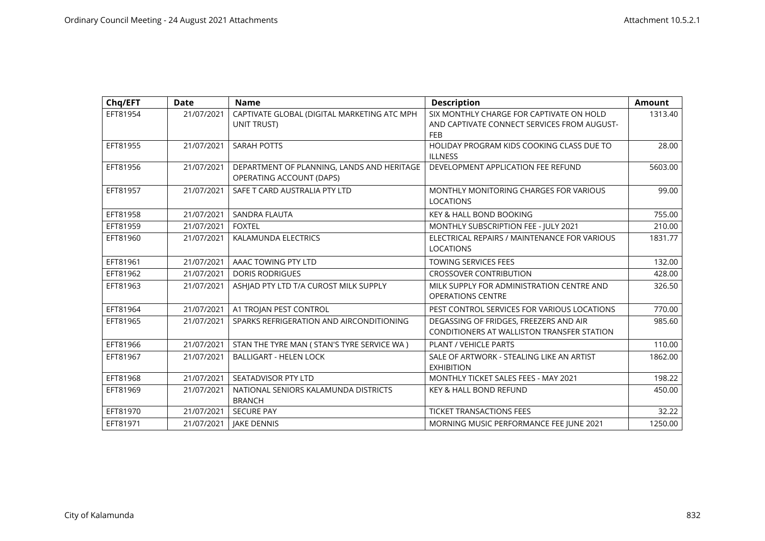| Chq/EFT  | <b>Date</b> | <b>Name</b>                                                            | <b>Description</b>                                                                                    | <b>Amount</b> |
|----------|-------------|------------------------------------------------------------------------|-------------------------------------------------------------------------------------------------------|---------------|
| EFT81954 | 21/07/2021  | CAPTIVATE GLOBAL (DIGITAL MARKETING ATC MPH<br>UNIT TRUST)             | SIX MONTHLY CHARGE FOR CAPTIVATE ON HOLD<br>AND CAPTIVATE CONNECT SERVICES FROM AUGUST-<br><b>FEB</b> | 1313.40       |
| EFT81955 | 21/07/2021  | <b>SARAH POTTS</b>                                                     | HOLIDAY PROGRAM KIDS COOKING CLASS DUE TO<br><b>ILLNESS</b>                                           | 28.00         |
| EFT81956 | 21/07/2021  | DEPARTMENT OF PLANNING, LANDS AND HERITAGE<br>OPERATING ACCOUNT (DAPS) | DEVELOPMENT APPLICATION FEE REFUND                                                                    | 5603.00       |
| EFT81957 | 21/07/2021  | SAFE T CARD AUSTRALIA PTY LTD                                          | <b>MONTHLY MONITORING CHARGES FOR VARIOUS</b><br><b>LOCATIONS</b>                                     | 99.00         |
| EFT81958 | 21/07/2021  | SANDRA FLAUTA                                                          | <b>KEY &amp; HALL BOND BOOKING</b>                                                                    | 755.00        |
| EFT81959 | 21/07/2021  | <b>FOXTEL</b>                                                          | MONTHLY SUBSCRIPTION FEE - JULY 2021                                                                  | 210.00        |
| EFT81960 | 21/07/2021  | <b>KALAMUNDA ELECTRICS</b>                                             | ELECTRICAL REPAIRS / MAINTENANCE FOR VARIOUS<br><b>LOCATIONS</b>                                      | 1831.77       |
| EFT81961 | 21/07/2021  | AAAC TOWING PTY LTD                                                    | <b>TOWING SERVICES FEES</b>                                                                           | 132.00        |
| EFT81962 | 21/07/2021  | <b>DORIS RODRIGUES</b>                                                 | <b>CROSSOVER CONTRIBUTION</b>                                                                         | 428.00        |
| EFT81963 | 21/07/2021  | ASHIAD PTY LTD T/A CUROST MILK SUPPLY                                  | MILK SUPPLY FOR ADMINISTRATION CENTRE AND<br><b>OPERATIONS CENTRE</b>                                 | 326.50        |
| EFT81964 | 21/07/2021  | A1 TROJAN PEST CONTROL                                                 | PEST CONTROL SERVICES FOR VARIOUS LOCATIONS                                                           | 770.00        |
| EFT81965 | 21/07/2021  | SPARKS REFRIGERATION AND AIRCONDITIONING                               | DEGASSING OF FRIDGES, FREEZERS AND AIR<br>CONDITIONERS AT WALLISTON TRANSFER STATION                  | 985.60        |
| EFT81966 | 21/07/2021  | STAN THE TYRE MAN ( STAN'S TYRE SERVICE WA )                           | <b>PLANT / VEHICLE PARTS</b>                                                                          | 110.00        |
| EFT81967 | 21/07/2021  | <b>BALLIGART - HELEN LOCK</b>                                          | SALE OF ARTWORK - STEALING LIKE AN ARTIST<br><b>EXHIBITION</b>                                        | 1862.00       |
| EFT81968 | 21/07/2021  | SEATADVISOR PTY LTD                                                    | MONTHLY TICKET SALES FEES - MAY 2021                                                                  | 198.22        |
| EFT81969 | 21/07/2021  | NATIONAL SENIORS KALAMUNDA DISTRICTS<br><b>BRANCH</b>                  | <b>KEY &amp; HALL BOND REFUND</b>                                                                     | 450.00        |
| EFT81970 | 21/07/2021  | <b>SECURE PAY</b>                                                      | <b>TICKET TRANSACTIONS FEES</b>                                                                       | 32.22         |
| EFT81971 | 21/07/2021  | <b>JAKE DENNIS</b>                                                     | MORNING MUSIC PERFORMANCE FEE JUNE 2021                                                               | 1250.00       |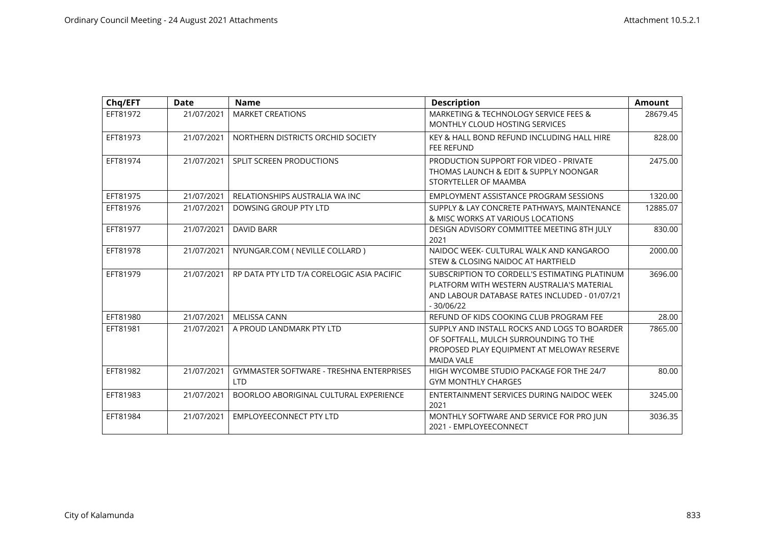| Chq/EFT  | <b>Date</b> | <b>Name</b>                                                   | <b>Description</b>                                                                                                                                          | <b>Amount</b> |
|----------|-------------|---------------------------------------------------------------|-------------------------------------------------------------------------------------------------------------------------------------------------------------|---------------|
| EFT81972 | 21/07/2021  | <b>MARKET CREATIONS</b>                                       | MARKETING & TECHNOLOGY SERVICE FEES &<br><b>MONTHLY CLOUD HOSTING SERVICES</b>                                                                              | 28679.45      |
| EFT81973 | 21/07/2021  | NORTHERN DISTRICTS ORCHID SOCIETY                             | KEY & HALL BOND REFUND INCLUDING HALL HIRE<br><b>FEE REFUND</b>                                                                                             | 828.00        |
| EFT81974 | 21/07/2021  | <b>SPLIT SCREEN PRODUCTIONS</b>                               | PRODUCTION SUPPORT FOR VIDEO - PRIVATE<br>THOMAS LAUNCH & EDIT & SUPPLY NOONGAR<br>STORYTELLER OF MAAMBA                                                    | 2475.00       |
| EFT81975 | 21/07/2021  | RELATIONSHIPS AUSTRALIA WA INC                                | EMPLOYMENT ASSISTANCE PROGRAM SESSIONS                                                                                                                      | 1320.00       |
| EFT81976 | 21/07/2021  | DOWSING GROUP PTY LTD                                         | SUPPLY & LAY CONCRETE PATHWAYS, MAINTENANCE<br>& MISC WORKS AT VARIOUS LOCATIONS                                                                            | 12885.07      |
| EFT81977 | 21/07/2021  | <b>DAVID BARR</b>                                             | DESIGN ADVISORY COMMITTEE MEETING 8TH JULY<br>2021                                                                                                          | 830.00        |
| EFT81978 | 21/07/2021  | NYUNGAR.COM ( NEVILLE COLLARD )                               | NAIDOC WEEK- CULTURAL WALK AND KANGAROO<br>STEW & CLOSING NAIDOC AT HARTFIELD                                                                               | 2000.00       |
| EFT81979 | 21/07/2021  | RP DATA PTY LTD T/A CORELOGIC ASIA PACIFIC                    | SUBSCRIPTION TO CORDELL'S ESTIMATING PLATINUM<br>PLATFORM WITH WESTERN AUSTRALIA'S MATERIAL<br>AND LABOUR DATABASE RATES INCLUDED - 01/07/21<br>$-30/06/22$ | 3696.00       |
| EFT81980 | 21/07/2021  | <b>MELISSA CANN</b>                                           | REFUND OF KIDS COOKING CLUB PROGRAM FEE                                                                                                                     | 28.00         |
| EFT81981 | 21/07/2021  | A PROUD LANDMARK PTY LTD                                      | SUPPLY AND INSTALL ROCKS AND LOGS TO BOARDER<br>OF SOFTFALL, MULCH SURROUNDING TO THE<br>PROPOSED PLAY EQUIPMENT AT MELOWAY RESERVE<br><b>MAIDA VALE</b>    | 7865.00       |
| EFT81982 | 21/07/2021  | <b>GYMMASTER SOFTWARE - TRESHNA ENTERPRISES</b><br><b>LTD</b> | HIGH WYCOMBE STUDIO PACKAGE FOR THE 24/7<br><b>GYM MONTHLY CHARGES</b>                                                                                      | 80.00         |
| EFT81983 | 21/07/2021  | BOORLOO ABORIGINAL CULTURAL EXPERIENCE                        | ENTERTAINMENT SERVICES DURING NAIDOC WEEK<br>2021                                                                                                           | 3245.00       |
| EFT81984 | 21/07/2021  | <b>EMPLOYEECONNECT PTY LTD</b>                                | MONTHLY SOFTWARE AND SERVICE FOR PRO JUN<br>2021 - EMPLOYEECONNECT                                                                                          | 3036.35       |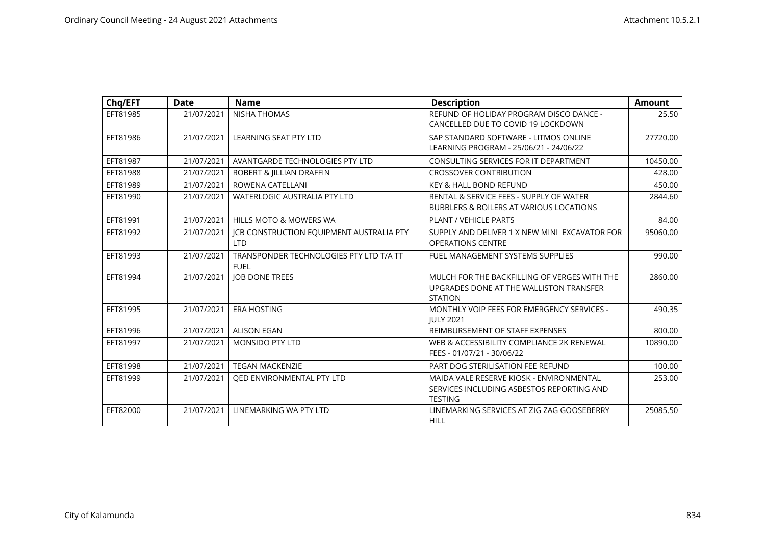| Chq/EFT  | <b>Date</b> | <b>Name</b>                                     | <b>Description</b>                                             | <b>Amount</b> |
|----------|-------------|-------------------------------------------------|----------------------------------------------------------------|---------------|
| EFT81985 | 21/07/2021  | <b>NISHA THOMAS</b>                             | REFUND OF HOLIDAY PROGRAM DISCO DANCE -                        | 25.50         |
|          |             |                                                 | CANCELLED DUE TO COVID 19 LOCKDOWN                             |               |
| EFT81986 | 21/07/2021  | <b>LEARNING SEAT PTY LTD</b>                    | SAP STANDARD SOFTWARE - LITMOS ONLINE                          | 27720.00      |
|          |             |                                                 | LEARNING PROGRAM - 25/06/21 - 24/06/22                         |               |
| EFT81987 | 21/07/2021  | AVANTGARDE TECHNOLOGIES PTY LTD                 | CONSULTING SERVICES FOR IT DEPARTMENT                          | 10450.00      |
| EFT81988 | 21/07/2021  | ROBERT & JILLIAN DRAFFIN                        | <b>CROSSOVER CONTRIBUTION</b>                                  | 428.00        |
| EFT81989 | 21/07/2021  | ROWENA CATELLANI                                | <b>KEY &amp; HALL BOND REFUND</b>                              | 450.00        |
| EFT81990 | 21/07/2021  | <b>WATERLOGIC AUSTRALIA PTY LTD</b>             | RENTAL & SERVICE FEES - SUPPLY OF WATER                        | 2844.60       |
|          |             |                                                 | <b>BUBBLERS &amp; BOILERS AT VARIOUS LOCATIONS</b>             |               |
| EFT81991 | 21/07/2021  | HILLS MOTO & MOWERS WA                          | <b>PLANT / VEHICLE PARTS</b>                                   | 84.00         |
| EFT81992 | 21/07/2021  | <b>JCB CONSTRUCTION EQUIPMENT AUSTRALIA PTY</b> | SUPPLY AND DELIVER 1 X NEW MINI EXCAVATOR FOR                  | 95060.00      |
|          |             | <b>LTD</b>                                      | <b>OPERATIONS CENTRE</b>                                       |               |
| EFT81993 | 21/07/2021  | TRANSPONDER TECHNOLOGIES PTY LTD T/A TT         | FUEL MANAGEMENT SYSTEMS SUPPLIES                               | 990.00        |
|          |             | <b>FUEL</b>                                     |                                                                |               |
| EFT81994 | 21/07/2021  | <b>JOB DONE TREES</b>                           | MULCH FOR THE BACKFILLING OF VERGES WITH THE                   | 2860.00       |
|          |             |                                                 | UPGRADES DONE AT THE WALLISTON TRANSFER                        |               |
|          |             |                                                 | <b>STATION</b>                                                 |               |
| EFT81995 | 21/07/2021  | <b>ERA HOSTING</b>                              | MONTHLY VOIP FEES FOR EMERGENCY SERVICES -<br><b>IULY 2021</b> | 490.35        |
| EFT81996 | 21/07/2021  | <b>ALISON EGAN</b>                              | REIMBURSEMENT OF STAFF EXPENSES                                | 800.00        |
| EFT81997 | 21/07/2021  | <b>MONSIDO PTY LTD</b>                          | WEB & ACCESSIBILITY COMPLIANCE 2K RENEWAL                      | 10890.00      |
|          |             |                                                 | FEES - 01/07/21 - 30/06/22                                     |               |
| EFT81998 | 21/07/2021  | <b>TEGAN MACKENZIE</b>                          | PART DOG STERILISATION FEE REFUND                              | 100.00        |
|          |             |                                                 |                                                                |               |
| EFT81999 | 21/07/2021  | OED ENVIRONMENTAL PTY LTD                       | MAIDA VALE RESERVE KIOSK - ENVIRONMENTAL                       | 253.00        |
|          |             |                                                 | SERVICES INCLUDING ASBESTOS REPORTING AND                      |               |
|          |             |                                                 | <b>TESTING</b>                                                 |               |
| EFT82000 | 21/07/2021  | LINEMARKING WA PTY LTD                          | LINEMARKING SERVICES AT ZIG ZAG GOOSEBERRY                     | 25085.50      |
|          |             |                                                 | <b>HILL</b>                                                    |               |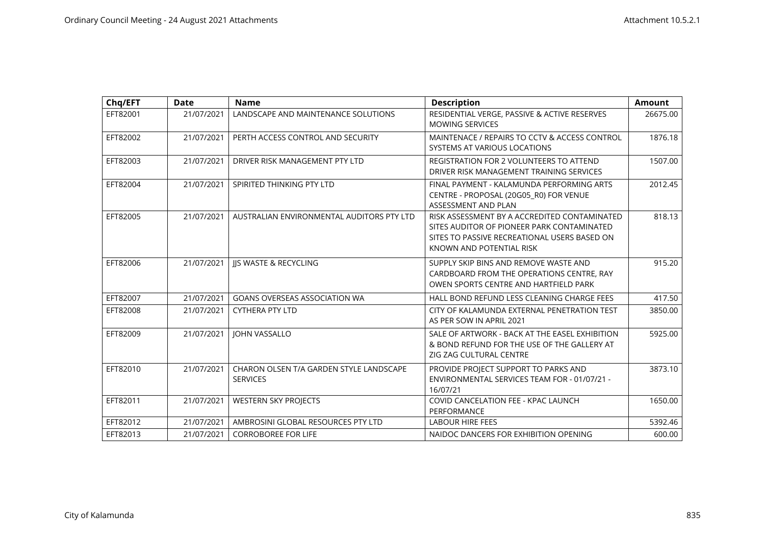| Chq/EFT  | <b>Date</b> | <b>Name</b>                                                | <b>Description</b>                                                                                                                                                     | Amount   |
|----------|-------------|------------------------------------------------------------|------------------------------------------------------------------------------------------------------------------------------------------------------------------------|----------|
| EFT82001 | 21/07/2021  | LANDSCAPE AND MAINTENANCE SOLUTIONS                        | RESIDENTIAL VERGE, PASSIVE & ACTIVE RESERVES<br><b>MOWING SERVICES</b>                                                                                                 | 26675.00 |
| EFT82002 | 21/07/2021  | PERTH ACCESS CONTROL AND SECURITY                          | MAINTENACE / REPAIRS TO CCTV & ACCESS CONTROL<br>SYSTEMS AT VARIOUS LOCATIONS                                                                                          | 1876.18  |
| EFT82003 | 21/07/2021  | DRIVER RISK MANAGEMENT PTY LTD                             | <b>REGISTRATION FOR 2 VOLUNTEERS TO ATTEND</b><br>DRIVER RISK MANAGEMENT TRAINING SERVICES                                                                             | 1507.00  |
| EFT82004 | 21/07/2021  | SPIRITED THINKING PTY LTD                                  | FINAL PAYMENT - KALAMUNDA PERFORMING ARTS<br>CENTRE - PROPOSAL (20G05_R0) FOR VENUE<br>ASSESSMENT AND PLAN                                                             | 2012.45  |
| EFT82005 | 21/07/2021  | AUSTRALIAN ENVIRONMENTAL AUDITORS PTY LTD                  | RISK ASSESSMENT BY A ACCREDITED CONTAMINATED<br>SITES AUDITOR OF PIONEER PARK CONTAMINATED<br>SITES TO PASSIVE RECREATIONAL USERS BASED ON<br>KNOWN AND POTENTIAL RISK | 818.13   |
| EFT82006 | 21/07/2021  | <b>JIS WASTE &amp; RECYCLING</b>                           | SUPPLY SKIP BINS AND REMOVE WASTE AND<br>CARDBOARD FROM THE OPERATIONS CENTRE, RAY<br>OWEN SPORTS CENTRE AND HARTFIELD PARK                                            | 915.20   |
| EFT82007 | 21/07/2021  | <b>GOANS OVERSEAS ASSOCIATION WA</b>                       | HALL BOND REFUND LESS CLEANING CHARGE FEES                                                                                                                             | 417.50   |
| EFT82008 | 21/07/2021  | <b>CYTHERA PTY LTD</b>                                     | CITY OF KALAMUNDA EXTERNAL PENETRATION TEST<br>AS PER SOW IN APRIL 2021                                                                                                | 3850.00  |
| EFT82009 | 21/07/2021  | <b>JOHN VASSALLO</b>                                       | SALE OF ARTWORK - BACK AT THE EASEL EXHIBITION<br>& BOND REFUND FOR THE USE OF THE GALLERY AT<br>ZIG ZAG CULTURAL CENTRE                                               | 5925.00  |
| EFT82010 | 21/07/2021  | CHARON OLSEN T/A GARDEN STYLE LANDSCAPE<br><b>SERVICES</b> | PROVIDE PROJECT SUPPORT TO PARKS AND<br>ENVIRONMENTAL SERVICES TEAM FOR - 01/07/21 -<br>16/07/21                                                                       | 3873.10  |
| EFT82011 | 21/07/2021  | <b>WESTERN SKY PROJECTS</b>                                | COVID CANCELATION FEE - KPAC LAUNCH<br>PERFORMANCE                                                                                                                     | 1650.00  |
| EFT82012 | 21/07/2021  | AMBROSINI GLOBAL RESOURCES PTY LTD                         | <b>LABOUR HIRE FEES</b>                                                                                                                                                | 5392.46  |
| EFT82013 | 21/07/2021  | <b>CORROBOREE FOR LIFE</b>                                 | NAIDOC DANCERS FOR EXHIBITION OPENING                                                                                                                                  | 600.00   |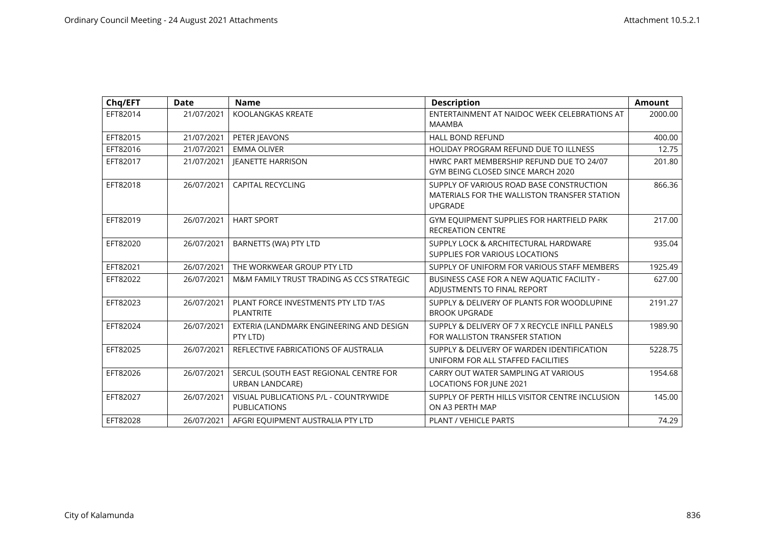| Chq/EFT  | <b>Date</b> | <b>Name</b>                                                      | <b>Description</b>                                                                                         | Amount  |
|----------|-------------|------------------------------------------------------------------|------------------------------------------------------------------------------------------------------------|---------|
| EFT82014 | 21/07/2021  | KOOLANGKAS KREATE                                                | ENTERTAINMENT AT NAIDOC WEEK CELEBRATIONS AT<br><b>MAAMBA</b>                                              | 2000.00 |
| EFT82015 | 21/07/2021  | PETER JEAVONS                                                    | <b>HALL BOND REFUND</b>                                                                                    | 400.00  |
| EFT82016 | 21/07/2021  | <b>EMMA OLIVER</b>                                               | <b>HOLIDAY PROGRAM REFUND DUE TO ILLNESS</b>                                                               | 12.75   |
| EFT82017 | 21/07/2021  | <b>JEANETTE HARRISON</b>                                         | HWRC PART MEMBERSHIP REFUND DUE TO 24/07<br>GYM BEING CLOSED SINCE MARCH 2020                              | 201.80  |
| EFT82018 | 26/07/2021  | <b>CAPITAL RECYCLING</b>                                         | SUPPLY OF VARIOUS ROAD BASE CONSTRUCTION<br>MATERIALS FOR THE WALLISTON TRANSFER STATION<br><b>UPGRADE</b> | 866.36  |
| EFT82019 | 26/07/2021  | <b>HART SPORT</b>                                                | GYM EQUIPMENT SUPPLIES FOR HARTFIELD PARK<br><b>RECREATION CENTRE</b>                                      | 217.00  |
| EFT82020 | 26/07/2021  | BARNETTS (WA) PTY LTD                                            | SUPPLY LOCK & ARCHITECTURAL HARDWARE<br>SUPPLIES FOR VARIOUS LOCATIONS                                     | 935.04  |
| EFT82021 | 26/07/2021  | THE WORKWEAR GROUP PTY LTD                                       | SUPPLY OF UNIFORM FOR VARIOUS STAFF MEMBERS                                                                | 1925.49 |
| EFT82022 | 26/07/2021  | M&M FAMILY TRUST TRADING AS CCS STRATEGIC                        | BUSINESS CASE FOR A NEW AQUATIC FACILITY -<br>ADJUSTMENTS TO FINAL REPORT                                  | 627.00  |
| EFT82023 | 26/07/2021  | PLANT FORCE INVESTMENTS PTY LTD T/AS<br><b>PLANTRITE</b>         | SUPPLY & DELIVERY OF PLANTS FOR WOODLUPINE<br><b>BROOK UPGRADE</b>                                         | 2191.27 |
| EFT82024 | 26/07/2021  | EXTERIA (LANDMARK ENGINEERING AND DESIGN<br>PTY LTD)             | SUPPLY & DELIVERY OF 7 X RECYCLE INFILL PANELS<br>FOR WALLISTON TRANSFER STATION                           | 1989.90 |
| EFT82025 | 26/07/2021  | REFLECTIVE FABRICATIONS OF AUSTRALIA                             | SUPPLY & DELIVERY OF WARDEN IDENTIFICATION<br>UNIFORM FOR ALL STAFFED FACILITIES                           | 5228.75 |
| EFT82026 | 26/07/2021  | SERCUL (SOUTH EAST REGIONAL CENTRE FOR<br><b>URBAN LANDCARE)</b> | CARRY OUT WATER SAMPLING AT VARIOUS<br><b>LOCATIONS FOR JUNE 2021</b>                                      | 1954.68 |
| EFT82027 | 26/07/2021  | VISUAL PUBLICATIONS P/L - COUNTRYWIDE<br><b>PUBLICATIONS</b>     | SUPPLY OF PERTH HILLS VISITOR CENTRE INCLUSION<br>ON A3 PERTH MAP                                          | 145.00  |
| EFT82028 | 26/07/2021  | AFGRI EQUIPMENT AUSTRALIA PTY LTD                                | <b>PLANT / VEHICLE PARTS</b>                                                                               | 74.29   |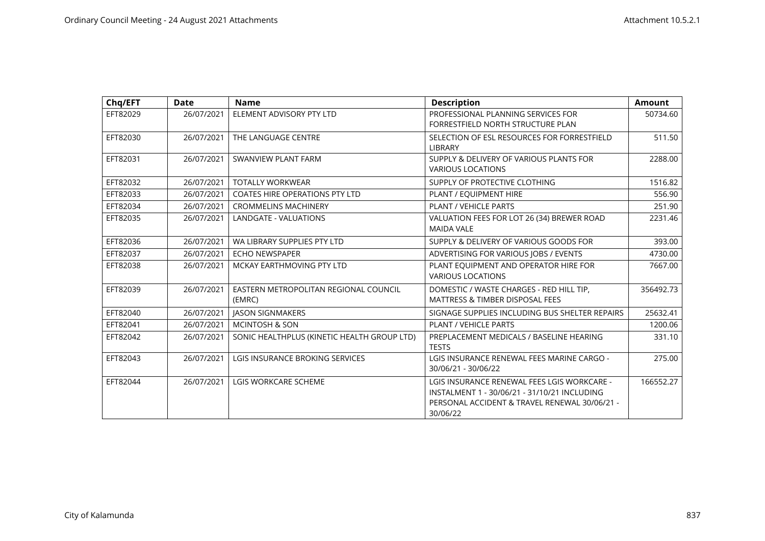| Chq/EFT  | Date       | <b>Name</b>                                     | <b>Description</b>                                                                                                                                       | <b>Amount</b> |
|----------|------------|-------------------------------------------------|----------------------------------------------------------------------------------------------------------------------------------------------------------|---------------|
| EFT82029 | 26/07/2021 | ELEMENT ADVISORY PTY LTD                        | PROFESSIONAL PLANNING SERVICES FOR<br>FORRESTFIELD NORTH STRUCTURE PLAN                                                                                  | 50734.60      |
| EFT82030 | 26/07/2021 | THE LANGUAGE CENTRE                             | SELECTION OF ESL RESOURCES FOR FORRESTFIELD<br><b>LIBRARY</b>                                                                                            | 511.50        |
| EFT82031 | 26/07/2021 | SWANVIEW PLANT FARM                             | SUPPLY & DELIVERY OF VARIOUS PLANTS FOR<br><b>VARIOUS LOCATIONS</b>                                                                                      | 2288.00       |
| EFT82032 | 26/07/2021 | <b>TOTALLY WORKWEAR</b>                         | SUPPLY OF PROTECTIVE CLOTHING                                                                                                                            | 1516.82       |
| EFT82033 | 26/07/2021 | <b>COATES HIRE OPERATIONS PTY LTD</b>           | PLANT / EQUIPMENT HIRE                                                                                                                                   | 556.90        |
| EFT82034 | 26/07/2021 | <b>CROMMELINS MACHINERY</b>                     | PLANT / VEHICLE PARTS                                                                                                                                    | 251.90        |
| EFT82035 | 26/07/2021 | <b>LANDGATE - VALUATIONS</b>                    | VALUATION FEES FOR LOT 26 (34) BREWER ROAD<br><b>MAIDA VALE</b>                                                                                          | 2231.46       |
| EFT82036 | 26/07/2021 | WA LIBRARY SUPPLIES PTY LTD                     | SUPPLY & DELIVERY OF VARIOUS GOODS FOR                                                                                                                   | 393.00        |
| EFT82037 | 26/07/2021 | <b>ECHO NEWSPAPER</b>                           | ADVERTISING FOR VARIOUS JOBS / EVENTS                                                                                                                    | 4730.00       |
| EFT82038 | 26/07/2021 | MCKAY EARTHMOVING PTY LTD                       | PLANT EQUIPMENT AND OPERATOR HIRE FOR<br><b>VARIOUS LOCATIONS</b>                                                                                        | 7667.00       |
| EFT82039 | 26/07/2021 | EASTERN METROPOLITAN REGIONAL COUNCIL<br>(EMRC) | DOMESTIC / WASTE CHARGES - RED HILL TIP.<br><b>MATTRESS &amp; TIMBER DISPOSAL FEES</b>                                                                   | 356492.73     |
| EFT82040 | 26/07/2021 | <b>JASON SIGNMAKERS</b>                         | SIGNAGE SUPPLIES INCLUDING BUS SHELTER REPAIRS                                                                                                           | 25632.41      |
| EFT82041 | 26/07/2021 | <b>MCINTOSH &amp; SON</b>                       | <b>PLANT / VEHICLE PARTS</b>                                                                                                                             | 1200.06       |
| EFT82042 | 26/07/2021 | SONIC HEALTHPLUS (KINETIC HEALTH GROUP LTD)     | PREPLACEMENT MEDICALS / BASELINE HEARING<br><b>TESTS</b>                                                                                                 | 331.10        |
| EFT82043 | 26/07/2021 | LGIS INSURANCE BROKING SERVICES                 | LGIS INSURANCE RENEWAL FEES MARINE CARGO -<br>30/06/21 - 30/06/22                                                                                        | 275.00        |
| EFT82044 | 26/07/2021 | <b>LGIS WORKCARE SCHEME</b>                     | LGIS INSURANCE RENEWAL FEES LGIS WORKCARE -<br>INSTALMENT 1 - 30/06/21 - 31/10/21 INCLUDING<br>PERSONAL ACCIDENT & TRAVEL RENEWAL 30/06/21 -<br>30/06/22 | 166552.27     |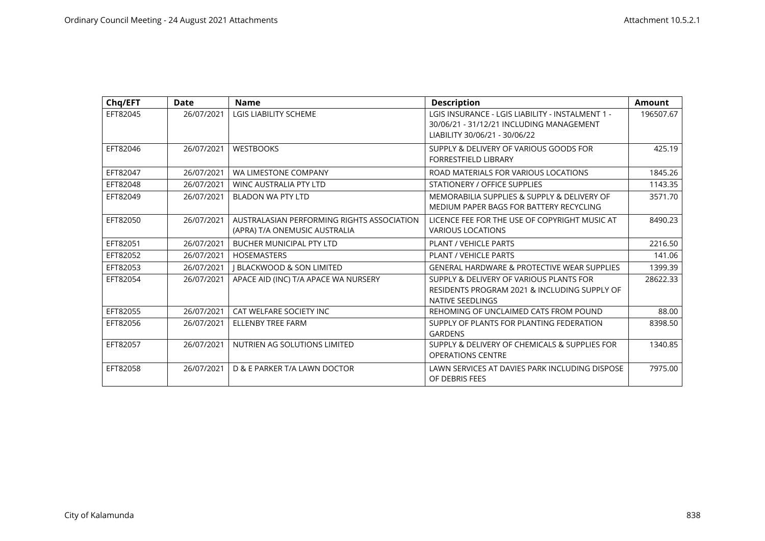| Chq/EFT  | <b>Date</b> | <b>Name</b>                                                                 | <b>Description</b>                                                                                                            | <b>Amount</b> |
|----------|-------------|-----------------------------------------------------------------------------|-------------------------------------------------------------------------------------------------------------------------------|---------------|
| EFT82045 | 26/07/2021  | <b>LGIS LIABILITY SCHEME</b>                                                | LGIS INSURANCE - LGIS LIABILITY - INSTALMENT 1 -<br>30/06/21 - 31/12/21 INCLUDING MANAGEMENT<br>LIABILITY 30/06/21 - 30/06/22 | 196507.67     |
| EFT82046 | 26/07/2021  | <b>WESTBOOKS</b>                                                            | SUPPLY & DELIVERY OF VARIOUS GOODS FOR<br><b>FORRESTFIELD LIBRARY</b>                                                         | 425.19        |
| EFT82047 | 26/07/2021  | WA LIMESTONE COMPANY                                                        | ROAD MATERIALS FOR VARIOUS LOCATIONS                                                                                          | 1845.26       |
| EFT82048 | 26/07/2021  | <b>WINC AUSTRALIA PTY LTD</b>                                               | <b>STATIONERY / OFFICE SUPPLIES</b>                                                                                           | 1143.35       |
| EFT82049 | 26/07/2021  | BLADON WA PTY LTD                                                           | MEMORABILIA SUPPLIES & SUPPLY & DELIVERY OF<br>MEDIUM PAPER BAGS FOR BATTERY RECYCLING                                        | 3571.70       |
| EFT82050 | 26/07/2021  | AUSTRALASIAN PERFORMING RIGHTS ASSOCIATION<br>(APRA) T/A ONEMUSIC AUSTRALIA | LICENCE FEE FOR THE USE OF COPYRIGHT MUSIC AT<br><b>VARIOUS LOCATIONS</b>                                                     | 8490.23       |
| EFT82051 | 26/07/2021  | <b>BUCHER MUNICIPAL PTY LTD</b>                                             | <b>PLANT / VEHICLE PARTS</b>                                                                                                  | 2216.50       |
| EFT82052 | 26/07/2021  | <b>HOSEMASTERS</b>                                                          | <b>PLANT / VEHICLE PARTS</b>                                                                                                  | 141.06        |
| EFT82053 | 26/07/2021  | <b>I BLACKWOOD &amp; SON LIMITED</b>                                        | <b>GENERAL HARDWARE &amp; PROTECTIVE WEAR SUPPLIES</b>                                                                        | 1399.39       |
| EFT82054 | 26/07/2021  | APACE AID (INC) T/A APACE WA NURSERY                                        | SUPPLY & DELIVERY OF VARIOUS PLANTS FOR<br>RESIDENTS PROGRAM 2021 & INCLUDING SUPPLY OF<br>NATIVE SEEDLINGS                   | 28622.33      |
| EFT82055 | 26/07/2021  | CAT WELFARE SOCIETY INC                                                     | REHOMING OF UNCLAIMED CATS FROM POUND                                                                                         | 88.00         |
| EFT82056 | 26/07/2021  | <b>ELLENBY TREE FARM</b>                                                    | SUPPLY OF PLANTS FOR PLANTING FEDERATION<br><b>GARDENS</b>                                                                    | 8398.50       |
| EFT82057 | 26/07/2021  | NUTRIEN AG SOLUTIONS LIMITED                                                | SUPPLY & DELIVERY OF CHEMICALS & SUPPLIES FOR<br><b>OPERATIONS CENTRE</b>                                                     | 1340.85       |
| EFT82058 | 26/07/2021  | D & E PARKER T/A LAWN DOCTOR                                                | LAWN SERVICES AT DAVIES PARK INCLUDING DISPOSE<br>OF DEBRIS FEES                                                              | 7975.00       |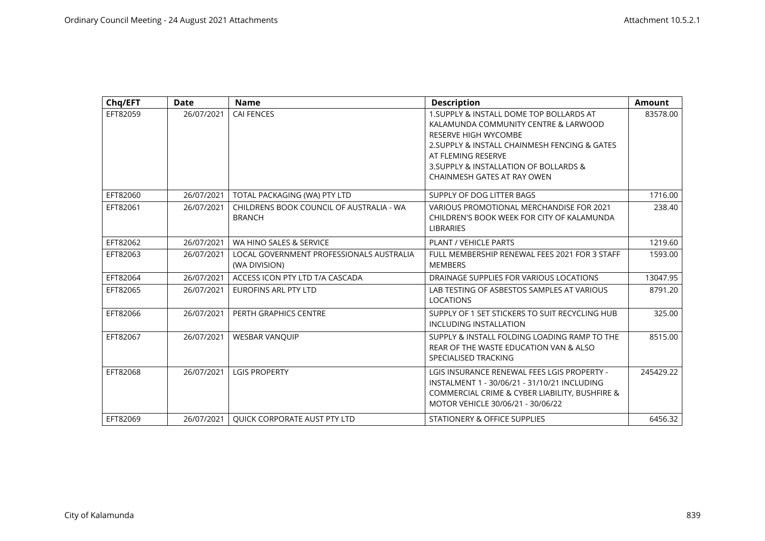| Chq/EFT  | Date       | <b>Name</b>                                               | <b>Description</b>                                                                                                                                                                                                               | <b>Amount</b> |
|----------|------------|-----------------------------------------------------------|----------------------------------------------------------------------------------------------------------------------------------------------------------------------------------------------------------------------------------|---------------|
| EFT82059 | 26/07/2021 | <b>CAI FENCES</b>                                         | 1. SUPPLY & INSTALL DOME TOP BOLLARDS AT<br>KALAMUNDA COMMUNITY CENTRE & LARWOOD<br><b>RESERVE HIGH WYCOMBE</b><br>2. SUPPLY & INSTALL CHAINMESH FENCING & GATES<br>AT FLEMING RESERVE<br>3. SUPPLY & INSTALLATION OF BOLLARDS & | 83578.00      |
|          |            |                                                           | CHAINMESH GATES AT RAY OWEN                                                                                                                                                                                                      |               |
| EFT82060 | 26/07/2021 | TOTAL PACKAGING (WA) PTY LTD                              | SUPPLY OF DOG LITTER BAGS                                                                                                                                                                                                        | 1716.00       |
| EFT82061 | 26/07/2021 | CHILDRENS BOOK COUNCIL OF AUSTRALIA - WA<br><b>BRANCH</b> | VARIOUS PROMOTIONAL MERCHANDISE FOR 2021<br>CHILDREN'S BOOK WEEK FOR CITY OF KALAMUNDA<br><b>LIBRARIES</b>                                                                                                                       | 238.40        |
| EFT82062 | 26/07/2021 | WA HINO SALES & SERVICE                                   | PLANT / VEHICLE PARTS                                                                                                                                                                                                            | 1219.60       |
| EFT82063 | 26/07/2021 | LOCAL GOVERNMENT PROFESSIONALS AUSTRALIA<br>(WA DIVISION) | FULL MEMBERSHIP RENEWAL FEES 2021 FOR 3 STAFF<br><b>MEMBERS</b>                                                                                                                                                                  | 1593.00       |
| EFT82064 | 26/07/2021 | ACCESS ICON PTY LTD T/A CASCADA                           | DRAINAGE SUPPLIES FOR VARIOUS LOCATIONS                                                                                                                                                                                          | 13047.95      |
| EFT82065 | 26/07/2021 | EUROFINS ARL PTY LTD                                      | LAB TESTING OF ASBESTOS SAMPLES AT VARIOUS<br><b>LOCATIONS</b>                                                                                                                                                                   | 8791.20       |
| EFT82066 | 26/07/2021 | PERTH GRAPHICS CENTRE                                     | SUPPLY OF 1 SET STICKERS TO SUIT RECYCLING HUB<br><b>INCLUDING INSTALLATION</b>                                                                                                                                                  | 325.00        |
| EFT82067 | 26/07/2021 | <b>WESBAR VANQUIP</b>                                     | SUPPLY & INSTALL FOLDING LOADING RAMP TO THE<br>REAR OF THE WASTE EDUCATION VAN & ALSO<br>SPECIALISED TRACKING                                                                                                                   | 8515.00       |
| EFT82068 | 26/07/2021 | <b>LGIS PROPERTY</b>                                      | LGIS INSURANCE RENEWAL FEES LGIS PROPERTY -<br>INSTALMENT 1 - 30/06/21 - 31/10/21 INCLUDING<br>COMMERCIAL CRIME & CYBER LIABILITY, BUSHFIRE &<br>MOTOR VEHICLE 30/06/21 - 30/06/22                                               | 245429.22     |
| EFT82069 | 26/07/2021 | <b>OUICK CORPORATE AUST PTY LTD</b>                       | STATIONERY & OFFICE SUPPLIES                                                                                                                                                                                                     | 6456.32       |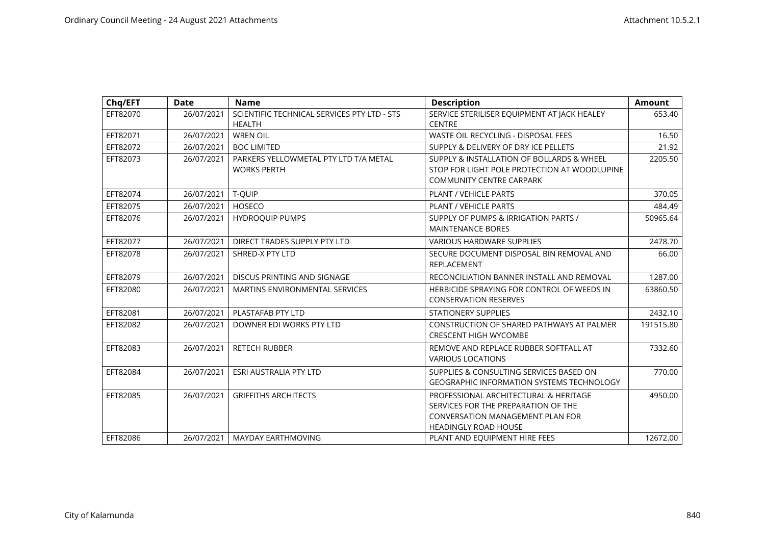| Chq/EFT  | Date       | <b>Name</b>                                                  | <b>Description</b>                                                                                                                                     | <b>Amount</b> |
|----------|------------|--------------------------------------------------------------|--------------------------------------------------------------------------------------------------------------------------------------------------------|---------------|
| EFT82070 | 26/07/2021 | SCIENTIFIC TECHNICAL SERVICES PTY LTD - STS<br><b>HEALTH</b> | SERVICE STERILISER EQUIPMENT AT JACK HEALEY<br><b>CENTRE</b>                                                                                           | 653.40        |
| EFT82071 | 26/07/2021 | <b>WREN OIL</b>                                              | WASTE OIL RECYCLING - DISPOSAL FEES                                                                                                                    | 16.50         |
| EFT82072 | 26/07/2021 | <b>BOC LIMITED</b>                                           | SUPPLY & DELIVERY OF DRY ICE PELLETS                                                                                                                   | 21.92         |
| EFT82073 | 26/07/2021 | PARKERS YELLOWMETAL PTY LTD T/A METAL<br><b>WORKS PERTH</b>  | SUPPLY & INSTALLATION OF BOLLARDS & WHEEL<br>STOP FOR LIGHT POLE PROTECTION AT WOODLUPINE<br><b>COMMUNITY CENTRE CARPARK</b>                           | 2205.50       |
| EFT82074 | 26/07/2021 | T-QUIP                                                       | PLANT / VEHICLE PARTS                                                                                                                                  | 370.05        |
| EFT82075 | 26/07/2021 | HOSECO                                                       | PLANT / VEHICLE PARTS                                                                                                                                  | 484.49        |
| EFT82076 | 26/07/2021 | <b>HYDROOUIP PUMPS</b>                                       | SUPPLY OF PUMPS & IRRIGATION PARTS /<br><b>MAINTENANCE BORES</b>                                                                                       | 50965.64      |
| EFT82077 | 26/07/2021 | DIRECT TRADES SUPPLY PTY LTD                                 | <b>VARIOUS HARDWARE SUPPLIES</b>                                                                                                                       | 2478.70       |
| EFT82078 | 26/07/2021 | SHRED-X PTY LTD                                              | SECURE DOCUMENT DISPOSAL BIN REMOVAL AND<br><b>REPLACEMENT</b>                                                                                         | 66.00         |
| EFT82079 | 26/07/2021 | DISCUS PRINTING AND SIGNAGE                                  | RECONCILIATION BANNER INSTALL AND REMOVAL                                                                                                              | 1287.00       |
| EFT82080 | 26/07/2021 | <b>MARTINS ENVIRONMENTAL SERVICES</b>                        | HERBICIDE SPRAYING FOR CONTROL OF WEEDS IN<br><b>CONSERVATION RESERVES</b>                                                                             | 63860.50      |
| EFT82081 | 26/07/2021 | PLASTAFAB PTY LTD                                            | <b>STATIONERY SUPPLIES</b>                                                                                                                             | 2432.10       |
| EFT82082 | 26/07/2021 | DOWNER EDI WORKS PTY LTD                                     | CONSTRUCTION OF SHARED PATHWAYS AT PALMER<br><b>CRESCENT HIGH WYCOMBE</b>                                                                              | 191515.80     |
| EFT82083 | 26/07/2021 | <b>RETECH RUBBER</b>                                         | REMOVE AND REPLACE RUBBER SOFTFALL AT<br><b>VARIOUS LOCATIONS</b>                                                                                      | 7332.60       |
| EFT82084 | 26/07/2021 | <b>ESRI AUSTRALIA PTY LTD</b>                                | SUPPLIES & CONSULTING SERVICES BASED ON<br><b>GEOGRAPHIC INFORMATION SYSTEMS TECHNOLOGY</b>                                                            | 770.00        |
| EFT82085 | 26/07/2021 | <b>GRIFFITHS ARCHITECTS</b>                                  | PROFESSIONAL ARCHITECTURAL & HERITAGE<br>SERVICES FOR THE PREPARATION OF THE<br><b>CONVERSATION MANAGEMENT PLAN FOR</b><br><b>HEADINGLY ROAD HOUSE</b> | 4950.00       |
| EFT82086 | 26/07/2021 | <b>MAYDAY EARTHMOVING</b>                                    | PLANT AND EQUIPMENT HIRE FEES                                                                                                                          | 12672.00      |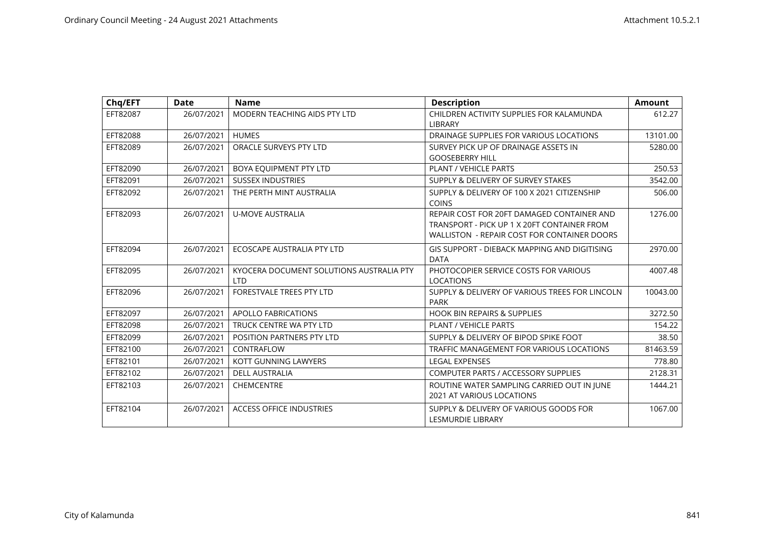| Chq/EFT  | Date       | <b>Name</b>                                            | <b>Description</b>                                                                                                                       | <b>Amount</b> |
|----------|------------|--------------------------------------------------------|------------------------------------------------------------------------------------------------------------------------------------------|---------------|
| EFT82087 | 26/07/2021 | MODERN TEACHING AIDS PTY LTD                           | CHILDREN ACTIVITY SUPPLIES FOR KALAMUNDA<br><b>LIBRARY</b>                                                                               | 612.27        |
| EFT82088 | 26/07/2021 | <b>HUMES</b>                                           | DRAINAGE SUPPLIES FOR VARIOUS LOCATIONS                                                                                                  | 13101.00      |
| EFT82089 | 26/07/2021 | ORACLE SURVEYS PTY LTD                                 | SURVEY PICK UP OF DRAINAGE ASSETS IN<br><b>GOOSEBERRY HILL</b>                                                                           | 5280.00       |
| EFT82090 | 26/07/2021 | BOYA EQUIPMENT PTY LTD                                 | <b>PLANT / VEHICLE PARTS</b>                                                                                                             | 250.53        |
| EFT82091 | 26/07/2021 | <b>SUSSEX INDUSTRIES</b>                               | SUPPLY & DELIVERY OF SURVEY STAKES                                                                                                       | 3542.00       |
| EFT82092 | 26/07/2021 | THE PERTH MINT AUSTRALIA                               | SUPPLY & DELIVERY OF 100 X 2021 CITIZENSHIP<br><b>COINS</b>                                                                              | 506.00        |
| EFT82093 | 26/07/2021 | <b>U-MOVE AUSTRALIA</b>                                | REPAIR COST FOR 20FT DAMAGED CONTAINER AND<br>TRANSPORT - PICK UP 1 X 20FT CONTAINER FROM<br>WALLISTON - REPAIR COST FOR CONTAINER DOORS | 1276.00       |
| EFT82094 | 26/07/2021 | ECOSCAPE AUSTRALIA PTY LTD                             | <b>GIS SUPPORT - DIEBACK MAPPING AND DIGITISING</b><br><b>DATA</b>                                                                       | 2970.00       |
| EFT82095 | 26/07/2021 | KYOCERA DOCUMENT SOLUTIONS AUSTRALIA PTY<br><b>LTD</b> | PHOTOCOPIER SERVICE COSTS FOR VARIOUS<br><b>LOCATIONS</b>                                                                                | 4007.48       |
| EFT82096 | 26/07/2021 | <b>FORESTVALE TREES PTY LTD</b>                        | SUPPLY & DELIVERY OF VARIOUS TREES FOR LINCOLN<br>PARK                                                                                   | 10043.00      |
| EFT82097 | 26/07/2021 | <b>APOLLO FABRICATIONS</b>                             | <b>HOOK BIN REPAIRS &amp; SUPPLIES</b>                                                                                                   | 3272.50       |
| EFT82098 | 26/07/2021 | TRUCK CENTRE WA PTY LTD                                | <b>PLANT / VEHICLE PARTS</b>                                                                                                             | 154.22        |
| EFT82099 | 26/07/2021 | POSITION PARTNERS PTY LTD                              | SUPPLY & DELIVERY OF BIPOD SPIKE FOOT                                                                                                    | 38.50         |
| EFT82100 | 26/07/2021 | CONTRAFLOW                                             | TRAFFIC MANAGEMENT FOR VARIOUS LOCATIONS                                                                                                 | 81463.59      |
| EFT82101 | 26/07/2021 | KOTT GUNNING LAWYERS                                   | <b>LEGAL EXPENSES</b>                                                                                                                    | 778.80        |
| EFT82102 | 26/07/2021 | <b>DELL AUSTRALIA</b>                                  | <b>COMPUTER PARTS / ACCESSORY SUPPLIES</b>                                                                                               | 2128.31       |
| EFT82103 | 26/07/2021 | <b>CHEMCENTRE</b>                                      | ROUTINE WATER SAMPLING CARRIED OUT IN JUNE<br><b>2021 AT VARIOUS LOCATIONS</b>                                                           | 1444.21       |
| EFT82104 | 26/07/2021 | <b>ACCESS OFFICE INDUSTRIES</b>                        | SUPPLY & DELIVERY OF VARIOUS GOODS FOR<br><b>LESMURDIE LIBRARY</b>                                                                       | 1067.00       |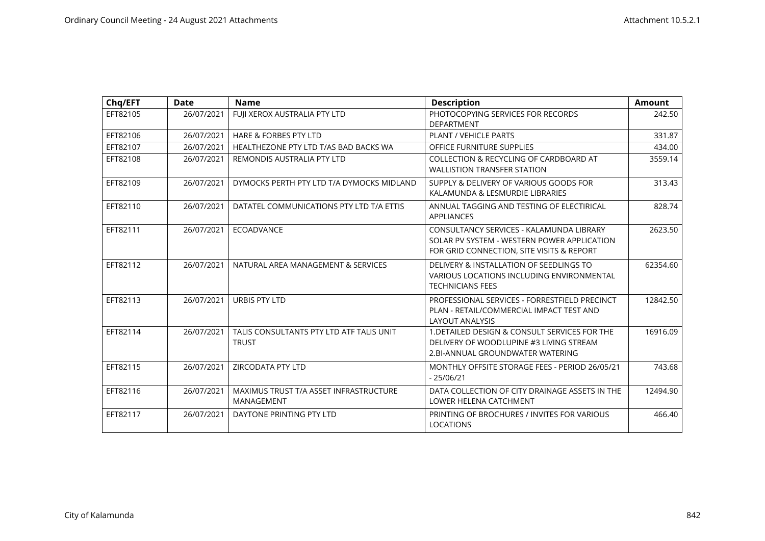| Chq/EFT  | <b>Date</b> | <b>Name</b>                                              | <b>Description</b>                                                                                                                   | <b>Amount</b> |
|----------|-------------|----------------------------------------------------------|--------------------------------------------------------------------------------------------------------------------------------------|---------------|
| EFT82105 | 26/07/2021  | FUJI XEROX AUSTRALIA PTY LTD                             | PHOTOCOPYING SERVICES FOR RECORDS<br><b>DEPARTMENT</b>                                                                               | 242.50        |
| EFT82106 | 26/07/2021  | <b>HARE &amp; FORBES PTY LTD</b>                         | <b>PLANT / VEHICLE PARTS</b>                                                                                                         | 331.87        |
| EFT82107 | 26/07/2021  | HEALTHEZONE PTY LTD T/AS BAD BACKS WA                    | OFFICE FURNITURE SUPPLIES                                                                                                            | 434.00        |
| EFT82108 | 26/07/2021  | REMONDIS AUSTRALIA PTY LTD                               | COLLECTION & RECYCLING OF CARDBOARD AT<br><b>WALLISTION TRANSFER STATION</b>                                                         | 3559.14       |
| EFT82109 | 26/07/2021  | DYMOCKS PERTH PTY LTD T/A DYMOCKS MIDLAND                | SUPPLY & DELIVERY OF VARIOUS GOODS FOR<br>KALAMUNDA & LESMURDIE LIBRARIES                                                            | 313.43        |
| EFT82110 | 26/07/2021  | DATATEL COMMUNICATIONS PTY LTD T/A ETTIS                 | ANNUAL TAGGING AND TESTING OF ELECTIRICAL<br><b>APPLIANCES</b>                                                                       | 828.74        |
| EFT82111 | 26/07/2021  | <b>ECOADVANCE</b>                                        | CONSULTANCY SERVICES - KALAMUNDA LIBRARY<br>SOLAR PV SYSTEM - WESTERN POWER APPLICATION<br>FOR GRID CONNECTION, SITE VISITS & REPORT | 2623.50       |
| EFT82112 | 26/07/2021  | NATURAL AREA MANAGEMENT & SERVICES                       | DELIVERY & INSTALLATION OF SEEDLINGS TO<br>VARIOUS LOCATIONS INCLUDING ENVIRONMENTAL<br><b>TECHNICIANS FEES</b>                      | 62354.60      |
| EFT82113 | 26/07/2021  | URBIS PTY LTD                                            | PROFESSIONAL SERVICES - FORRESTFIELD PRECINCT<br>PLAN - RETAIL/COMMERCIAL IMPACT TEST AND<br><b>LAYOUT ANALYSIS</b>                  | 12842.50      |
| EFT82114 | 26/07/2021  | TALIS CONSULTANTS PTY LTD ATF TALIS UNIT<br><b>TRUST</b> | 1. DETAILED DESIGN & CONSULT SERVICES FOR THE<br>DELIVERY OF WOODLUPINE #3 LIVING STREAM<br>2.BI-ANNUAL GROUNDWATER WATERING         | 16916.09      |
| EFT82115 | 26/07/2021  | ZIRCODATA PTY LTD                                        | MONTHLY OFFSITE STORAGE FEES - PERIOD 26/05/21<br>$-25/06/21$                                                                        | 743.68        |
| EFT82116 | 26/07/2021  | MAXIMUS TRUST T/A ASSET INFRASTRUCTURE<br>MANAGEMENT     | DATA COLLECTION OF CITY DRAINAGE ASSETS IN THE<br>LOWER HELENA CATCHMENT                                                             | 12494.90      |
| EFT82117 | 26/07/2021  | DAYTONE PRINTING PTY LTD                                 | PRINTING OF BROCHURES / INVITES FOR VARIOUS<br><b>LOCATIONS</b>                                                                      | 466.40        |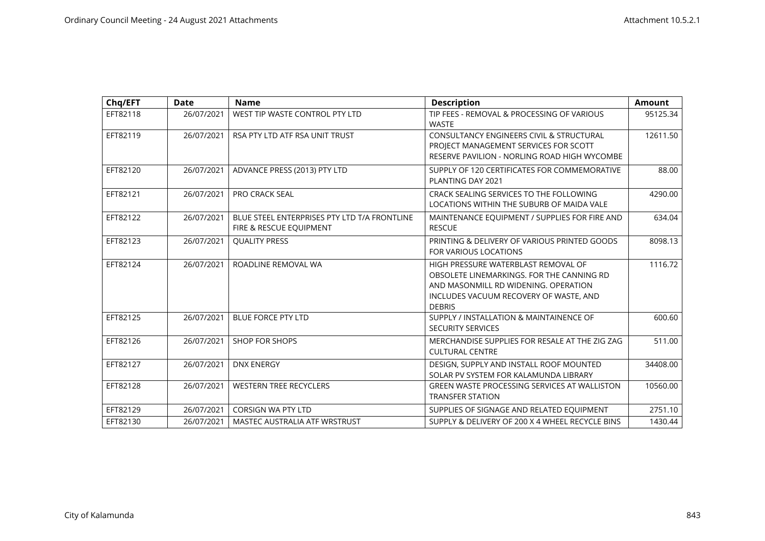| Chq/EFT  | Date       | <b>Name</b>                                                             | <b>Description</b>                                                                                                                                                                  | <b>Amount</b> |
|----------|------------|-------------------------------------------------------------------------|-------------------------------------------------------------------------------------------------------------------------------------------------------------------------------------|---------------|
| EFT82118 | 26/07/2021 | WEST TIP WASTE CONTROL PTY LTD                                          | TIP FEES - REMOVAL & PROCESSING OF VARIOUS<br><b>WASTE</b>                                                                                                                          | 95125.34      |
| EFT82119 | 26/07/2021 | RSA PTY LTD ATF RSA UNIT TRUST                                          | <b>CONSULTANCY ENGINEERS CIVIL &amp; STRUCTURAL</b><br>PROJECT MANAGEMENT SERVICES FOR SCOTT<br>RESERVE PAVILION - NORLING ROAD HIGH WYCOMBE                                        | 12611.50      |
| EFT82120 | 26/07/2021 | ADVANCE PRESS (2013) PTY LTD                                            | SUPPLY OF 120 CERTIFICATES FOR COMMEMORATIVE<br>PLANTING DAY 2021                                                                                                                   | 88.00         |
| EFT82121 | 26/07/2021 | <b>PRO CRACK SEAL</b>                                                   | CRACK SEALING SERVICES TO THE FOLLOWING<br>LOCATIONS WITHIN THE SUBURB OF MAIDA VALE                                                                                                | 4290.00       |
| EFT82122 | 26/07/2021 | BLUE STEEL ENTERPRISES PTY LTD T/A FRONTLINE<br>FIRE & RESCUE EQUIPMENT | MAINTENANCE EQUIPMENT / SUPPLIES FOR FIRE AND<br><b>RESCUE</b>                                                                                                                      | 634.04        |
| EFT82123 | 26/07/2021 | <b>QUALITY PRESS</b>                                                    | PRINTING & DELIVERY OF VARIOUS PRINTED GOODS<br>FOR VARIOUS LOCATIONS                                                                                                               | 8098.13       |
| EFT82124 | 26/07/2021 | ROADLINE REMOVAL WA                                                     | HIGH PRESSURE WATERBLAST REMOVAL OF<br>OBSOLETE LINEMARKINGS. FOR THE CANNING RD<br>AND MASONMILL RD WIDENING, OPERATION<br>INCLUDES VACUUM RECOVERY OF WASTE, AND<br><b>DEBRIS</b> | 1116.72       |
| EFT82125 | 26/07/2021 | <b>BLUE FORCE PTY LTD</b>                                               | SUPPLY / INSTALLATION & MAINTAINENCE OF<br><b>SECURITY SERVICES</b>                                                                                                                 | 600.60        |
| EFT82126 | 26/07/2021 | <b>SHOP FOR SHOPS</b>                                                   | MERCHANDISE SUPPLIES FOR RESALE AT THE ZIG ZAG<br><b>CULTURAL CENTRE</b>                                                                                                            | 511.00        |
| EFT82127 | 26/07/2021 | <b>DNX ENERGY</b>                                                       | DESIGN, SUPPLY AND INSTALL ROOF MOUNTED<br>SOLAR PV SYSTEM FOR KALAMUNDA LIBRARY                                                                                                    | 34408.00      |
| EFT82128 | 26/07/2021 | <b>WESTERN TREE RECYCLERS</b>                                           | <b>GREEN WASTE PROCESSING SERVICES AT WALLISTON</b><br><b>TRANSFER STATION</b>                                                                                                      | 10560.00      |
| EFT82129 | 26/07/2021 | <b>CORSIGN WA PTY LTD</b>                                               | SUPPLIES OF SIGNAGE AND RELATED EQUIPMENT                                                                                                                                           | 2751.10       |
| EFT82130 | 26/07/2021 | MASTEC AUSTRALIA ATF WRSTRUST                                           | SUPPLY & DELIVERY OF 200 X 4 WHEEL RECYCLE BINS                                                                                                                                     | 1430.44       |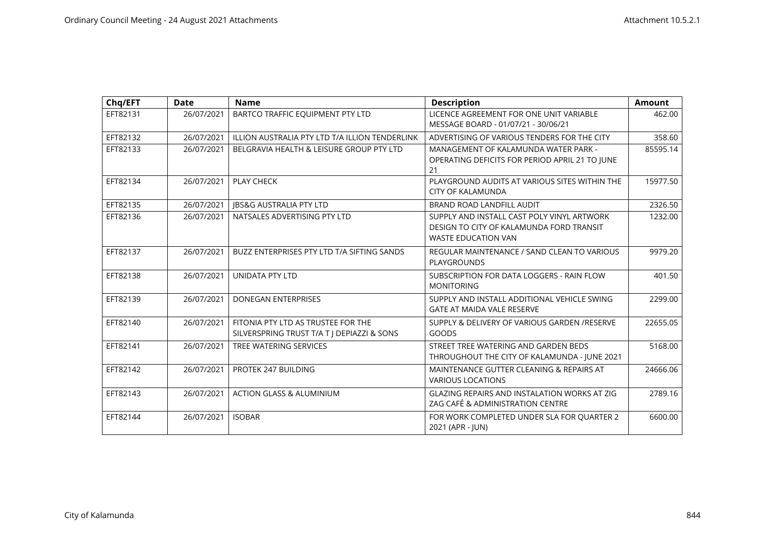| Chq/EFT  | <b>Date</b> | <b>Name</b>                                                                      | <b>Description</b>                                                                                                   | <b>Amount</b> |
|----------|-------------|----------------------------------------------------------------------------------|----------------------------------------------------------------------------------------------------------------------|---------------|
| EFT82131 | 26/07/2021  | BARTCO TRAFFIC EQUIPMENT PTY LTD                                                 | LICENCE AGREEMENT FOR ONE UNIT VARIABLE<br>MESSAGE BOARD - 01/07/21 - 30/06/21                                       | 462.00        |
| EFT82132 | 26/07/2021  | ILLION AUSTRALIA PTY LTD T/A ILLION TENDERLINK                                   | ADVERTISING OF VARIOUS TENDERS FOR THE CITY                                                                          | 358.60        |
| EFT82133 | 26/07/2021  | BELGRAVIA HEALTH & LEISURE GROUP PTY LTD                                         | MANAGEMENT OF KALAMUNDA WATER PARK -<br>OPERATING DEFICITS FOR PERIOD APRIL 21 TO JUNE<br>21                         | 85595.14      |
| EFT82134 | 26/07/2021  | PLAY CHECK                                                                       | PLAYGROUND AUDITS AT VARIOUS SITES WITHIN THE<br><b>CITY OF KALAMUNDA</b>                                            | 15977.50      |
| EFT82135 | 26/07/2021  | <b>JBS&amp;G AUSTRALIA PTY LTD</b>                                               | BRAND ROAD LANDFILL AUDIT                                                                                            | 2326.50       |
| EFT82136 | 26/07/2021  | NATSALES ADVERTISING PTY LTD                                                     | SUPPLY AND INSTALL CAST POLY VINYL ARTWORK<br>DESIGN TO CITY OF KALAMUNDA FORD TRANSIT<br><b>WASTE EDUCATION VAN</b> | 1232.00       |
| EFT82137 | 26/07/2021  | BUZZ ENTERPRISES PTY LTD T/A SIFTING SANDS                                       | REGULAR MAINTENANCE / SAND CLEAN TO VARIOUS<br><b>PLAYGROUNDS</b>                                                    | 9979.20       |
| EFT82138 | 26/07/2021  | <b>UNIDATA PTY LTD</b>                                                           | SUBSCRIPTION FOR DATA LOGGERS - RAIN FLOW<br><b>MONITORING</b>                                                       | 401.50        |
| EFT82139 | 26/07/2021  | DONEGAN ENTERPRISES                                                              | SUPPLY AND INSTALL ADDITIONAL VEHICLE SWING<br><b>GATE AT MAIDA VALE RESERVE</b>                                     | 2299.00       |
| EFT82140 | 26/07/2021  | FITONIA PTY LTD AS TRUSTEE FOR THE<br>SILVERSPRING TRUST T/A T   DEPIAZZI & SONS | SUPPLY & DELIVERY OF VARIOUS GARDEN /RESERVE<br><b>GOODS</b>                                                         | 22655.05      |
| EFT82141 | 26/07/2021  | TREE WATERING SERVICES                                                           | STREET TREE WATERING AND GARDEN BEDS<br>THROUGHOUT THE CITY OF KALAMUNDA - JUNE 2021                                 | 5168.00       |
| EFT82142 | 26/07/2021  | PROTEK 247 BUILDING                                                              | MAINTENANCE GUTTER CLEANING & REPAIRS AT<br><b>VARIOUS LOCATIONS</b>                                                 | 24666.06      |
| EFT82143 | 26/07/2021  | <b>ACTION GLASS &amp; ALUMINIUM</b>                                              | GLAZING REPAIRS AND INSTALATION WORKS AT ZIG<br>ZAG CAFÉ & ADMINISTRATION CENTRE                                     | 2789.16       |
| EFT82144 | 26/07/2021  | <b>ISOBAR</b>                                                                    | FOR WORK COMPLETED UNDER SLA FOR QUARTER 2<br>2021 (APR - JUN)                                                       | 6600.00       |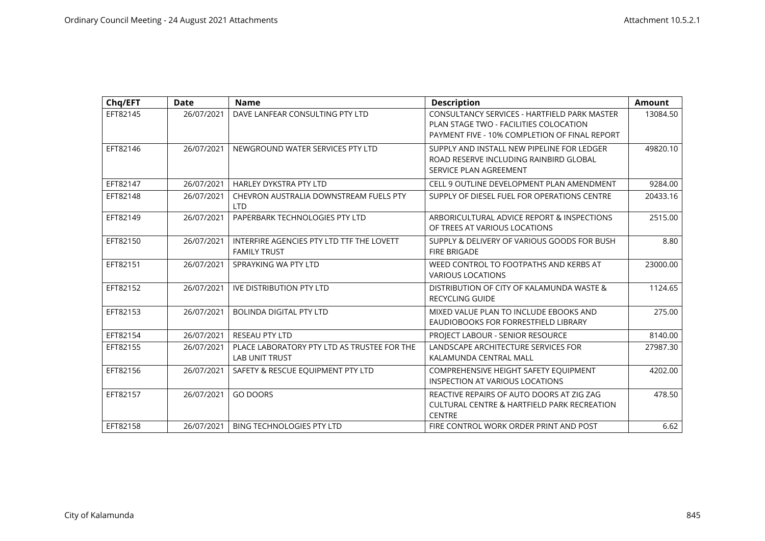| Chq/EFT  | <b>Date</b> | <b>Name</b>                                                          | <b>Description</b>                                                                                                                      | Amount   |
|----------|-------------|----------------------------------------------------------------------|-----------------------------------------------------------------------------------------------------------------------------------------|----------|
| EFT82145 | 26/07/2021  | DAVE LANFEAR CONSULTING PTY LTD                                      | CONSULTANCY SERVICES - HARTFIELD PARK MASTER<br>PLAN STAGE TWO - FACILITIES COLOCATION<br>PAYMENT FIVE - 10% COMPLETION OF FINAL REPORT | 13084.50 |
| EFT82146 | 26/07/2021  | NEWGROUND WATER SERVICES PTY LTD                                     | SUPPLY AND INSTALL NEW PIPELINE FOR LEDGER<br>ROAD RESERVE INCLUDING RAINBIRD GLOBAL<br>SERVICE PLAN AGREEMENT                          | 49820.10 |
| EFT82147 | 26/07/2021  | HARLEY DYKSTRA PTY LTD                                               | CELL 9 OUTLINE DEVELOPMENT PLAN AMENDMENT                                                                                               | 9284.00  |
| EFT82148 | 26/07/2021  | CHEVRON AUSTRALIA DOWNSTREAM FUELS PTY<br><b>LTD</b>                 | SUPPLY OF DIESEL FUEL FOR OPERATIONS CENTRE                                                                                             | 20433.16 |
| EFT82149 | 26/07/2021  | PAPERBARK TECHNOLOGIES PTY LTD                                       | ARBORICULTURAL ADVICE REPORT & INSPECTIONS<br>OF TREES AT VARIOUS LOCATIONS                                                             | 2515.00  |
| EFT82150 | 26/07/2021  | INTERFIRE AGENCIES PTY LTD TTF THE LOVETT<br><b>FAMILY TRUST</b>     | SUPPLY & DELIVERY OF VARIOUS GOODS FOR BUSH<br><b>FIRE BRIGADE</b>                                                                      | 8.80     |
| EFT82151 | 26/07/2021  | SPRAYKING WA PTY LTD                                                 | WEED CONTROL TO FOOTPATHS AND KERBS AT<br><b>VARIOUS LOCATIONS</b>                                                                      | 23000.00 |
| EFT82152 | 26/07/2021  | <b>IVE DISTRIBUTION PTY LTD</b>                                      | DISTRIBUTION OF CITY OF KALAMUNDA WASTE &<br><b>RECYCLING GUIDE</b>                                                                     | 1124.65  |
| EFT82153 | 26/07/2021  | <b>BOLINDA DIGITAL PTY LTD</b>                                       | MIXED VALUE PLAN TO INCLUDE EBOOKS AND<br>EAUDIOBOOKS FOR FORRESTFIELD LIBRARY                                                          | 275.00   |
| EFT82154 | 26/07/2021  | <b>RESEAU PTY LTD</b>                                                | PROJECT LABOUR - SENIOR RESOURCE                                                                                                        | 8140.00  |
| EFT82155 | 26/07/2021  | PLACE LABORATORY PTY LTD AS TRUSTEE FOR THE<br><b>LAB UNIT TRUST</b> | LANDSCAPE ARCHITECTURE SERVICES FOR<br>KALAMUNDA CENTRAL MALL                                                                           | 27987.30 |
| EFT82156 | 26/07/2021  | SAFETY & RESCUE EQUIPMENT PTY LTD                                    | COMPREHENSIVE HEIGHT SAFETY EQUIPMENT<br><b>INSPECTION AT VARIOUS LOCATIONS</b>                                                         | 4202.00  |
| EFT82157 | 26/07/2021  | <b>GO DOORS</b>                                                      | REACTIVE REPAIRS OF AUTO DOORS AT ZIG ZAG<br><b>CULTURAL CENTRE &amp; HARTFIELD PARK RECREATION</b><br><b>CENTRE</b>                    | 478.50   |
| EFT82158 | 26/07/2021  | <b>BING TECHNOLOGIES PTY LTD</b>                                     | FIRE CONTROL WORK ORDER PRINT AND POST                                                                                                  | 6.62     |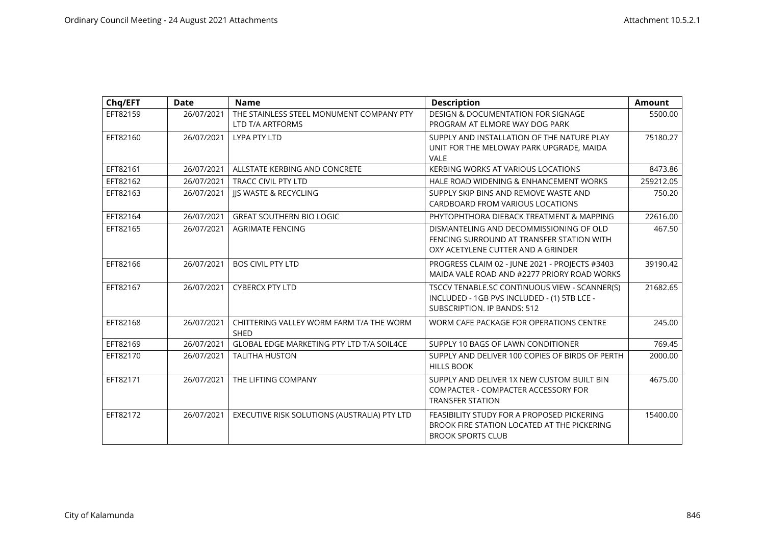| Chq/EFT  | <b>Date</b> | <b>Name</b>                                                  | <b>Description</b>                                                                                                                 | <b>Amount</b> |
|----------|-------------|--------------------------------------------------------------|------------------------------------------------------------------------------------------------------------------------------------|---------------|
| EFT82159 | 26/07/2021  | THE STAINLESS STEEL MONUMENT COMPANY PTY<br>LTD T/A ARTFORMS | <b>DESIGN &amp; DOCUMENTATION FOR SIGNAGE</b><br>PROGRAM AT ELMORE WAY DOG PARK                                                    | 5500.00       |
| EFT82160 | 26/07/2021  | <b>LYPA PTY LTD</b>                                          | SUPPLY AND INSTALLATION OF THE NATURE PLAY<br>UNIT FOR THE MELOWAY PARK UPGRADE, MAIDA<br><b>VALE</b>                              | 75180.27      |
| EFT82161 | 26/07/2021  | ALLSTATE KERBING AND CONCRETE                                | KERBING WORKS AT VARIOUS LOCATIONS                                                                                                 | 8473.86       |
| EFT82162 | 26/07/2021  | <b>TRACC CIVIL PTY LTD</b>                                   | HALE ROAD WIDENING & ENHANCEMENT WORKS                                                                                             | 259212.05     |
| EFT82163 | 26/07/2021  | <b>IIS WASTE &amp; RECYCLING</b>                             | SUPPLY SKIP BINS AND REMOVE WASTE AND<br>CARDBOARD FROM VARIOUS LOCATIONS                                                          | 750.20        |
| EFT82164 | 26/07/2021  | <b>GREAT SOUTHERN BIO LOGIC</b>                              | PHYTOPHTHORA DIEBACK TREATMENT & MAPPING                                                                                           | 22616.00      |
| EFT82165 | 26/07/2021  | <b>AGRIMATE FENCING</b>                                      | DISMANTELING AND DECOMMISSIONING OF OLD<br>FENCING SURROUND AT TRANSFER STATION WITH<br>OXY ACETYLENE CUTTER AND A GRINDER         | 467.50        |
| EFT82166 | 26/07/2021  | <b>BOS CIVIL PTY LTD</b>                                     | PROGRESS CLAIM 02 - JUNE 2021 - PROJECTS #3403<br>MAIDA VALE ROAD AND #2277 PRIORY ROAD WORKS                                      | 39190.42      |
| EFT82167 | 26/07/2021  | <b>CYBERCX PTY LTD</b>                                       | TSCCV TENABLE.SC CONTINUOUS VIEW - SCANNER(S)<br>INCLUDED - 1GB PVS INCLUDED - (1) 5TB LCE -<br><b>SUBSCRIPTION. IP BANDS: 512</b> | 21682.65      |
| EFT82168 | 26/07/2021  | CHITTERING VALLEY WORM FARM T/A THE WORM<br><b>SHED</b>      | WORM CAFE PACKAGE FOR OPERATIONS CENTRE                                                                                            | 245.00        |
| EFT82169 | 26/07/2021  | GLOBAL EDGE MARKETING PTY LTD T/A SOIL4CE                    | SUPPLY 10 BAGS OF LAWN CONDITIONER                                                                                                 | 769.45        |
| EFT82170 | 26/07/2021  | <b>TALITHA HUSTON</b>                                        | SUPPLY AND DELIVER 100 COPIES OF BIRDS OF PERTH<br><b>HILLS BOOK</b>                                                               | 2000.00       |
| EFT82171 | 26/07/2021  | THE LIFTING COMPANY                                          | SUPPLY AND DELIVER 1X NEW CUSTOM BUILT BIN<br>COMPACTER - COMPACTER ACCESSORY FOR<br><b>TRANSFER STATION</b>                       | 4675.00       |
| EFT82172 | 26/07/2021  | EXECUTIVE RISK SOLUTIONS (AUSTRALIA) PTY LTD                 | FEASIBILITY STUDY FOR A PROPOSED PICKERING<br>BROOK FIRE STATION LOCATED AT THE PICKERING<br><b>BROOK SPORTS CLUB</b>              | 15400.00      |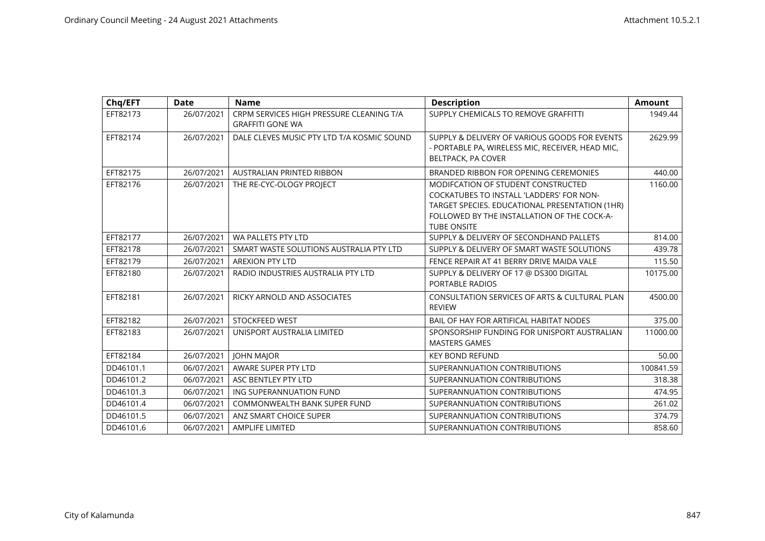| Chq/EFT   | Date       | <b>Name</b>                                                         | <b>Description</b>                                                                                                                                                                                    | <b>Amount</b> |
|-----------|------------|---------------------------------------------------------------------|-------------------------------------------------------------------------------------------------------------------------------------------------------------------------------------------------------|---------------|
| EFT82173  | 26/07/2021 | CRPM SERVICES HIGH PRESSURE CLEANING T/A<br><b>GRAFFITI GONE WA</b> | SUPPLY CHEMICALS TO REMOVE GRAFFITTI                                                                                                                                                                  | 1949.44       |
| EFT82174  | 26/07/2021 | DALE CLEVES MUSIC PTY LTD T/A KOSMIC SOUND                          | SUPPLY & DELIVERY OF VARIOUS GOODS FOR EVENTS<br>- PORTABLE PA, WIRELESS MIC, RECEIVER, HEAD MIC,<br>BELTPACK, PA COVER                                                                               | 2629.99       |
| EFT82175  | 26/07/2021 | <b>AUSTRALIAN PRINTED RIBBON</b>                                    | BRANDED RIBBON FOR OPENING CEREMONIES                                                                                                                                                                 | 440.00        |
| EFT82176  | 26/07/2021 | THE RE-CYC-OLOGY PROJECT                                            | MODIFCATION OF STUDENT CONSTRUCTED<br>COCKATUBES TO INSTALL 'LADDERS' FOR NON-<br>TARGET SPECIES. EDUCATIONAL PRESENTATION (1HR)<br>FOLLOWED BY THE INSTALLATION OF THE COCK-A-<br><b>TUBE ONSITE</b> | 1160.00       |
| EFT82177  | 26/07/2021 | WA PALLETS PTY LTD                                                  | SUPPLY & DELIVERY OF SECONDHAND PALLETS                                                                                                                                                               | 814.00        |
| EFT82178  | 26/07/2021 | SMART WASTE SOLUTIONS AUSTRALIA PTY LTD                             | SUPPLY & DELIVERY OF SMART WASTE SOLUTIONS                                                                                                                                                            | 439.78        |
| EFT82179  | 26/07/2021 | <b>AREXION PTY LTD</b>                                              | FENCE REPAIR AT 41 BERRY DRIVE MAIDA VALE                                                                                                                                                             | 115.50        |
| EFT82180  | 26/07/2021 | RADIO INDUSTRIES AUSTRALIA PTY LTD                                  | SUPPLY & DELIVERY OF 17 @ DS300 DIGITAL<br><b>PORTABLE RADIOS</b>                                                                                                                                     | 10175.00      |
| EFT82181  | 26/07/2021 | RICKY ARNOLD AND ASSOCIATES                                         | CONSULTATION SERVICES OF ARTS & CULTURAL PLAN<br><b>REVIEW</b>                                                                                                                                        | 4500.00       |
| EFT82182  | 26/07/2021 | STOCKFEED WEST                                                      | BAIL OF HAY FOR ARTIFICAL HABITAT NODES                                                                                                                                                               | 375.00        |
| EFT82183  | 26/07/2021 | UNISPORT AUSTRALIA LIMITED                                          | SPONSORSHIP FUNDING FOR UNISPORT AUSTRALIAN<br><b>MASTERS GAMES</b>                                                                                                                                   | 11000.00      |
| EFT82184  | 26/07/2021 | <b>JOHN MAJOR</b>                                                   | <b>KEY BOND REFUND</b>                                                                                                                                                                                | 50.00         |
| DD46101.1 | 06/07/2021 | AWARE SUPER PTY LTD                                                 | SUPERANNUATION CONTRIBUTIONS                                                                                                                                                                          | 100841.59     |
| DD46101.2 | 06/07/2021 | ASC BENTLEY PTY LTD                                                 | SUPERANNUATION CONTRIBUTIONS                                                                                                                                                                          | 318.38        |
| DD46101.3 | 06/07/2021 | ING SUPERANNUATION FUND                                             | SUPERANNUATION CONTRIBUTIONS                                                                                                                                                                          | 474.95        |
| DD46101.4 | 06/07/2021 | <b>COMMONWEALTH BANK SUPER FUND</b>                                 | SUPERANNUATION CONTRIBUTIONS                                                                                                                                                                          | 261.02        |
| DD46101.5 | 06/07/2021 | ANZ SMART CHOICE SUPER                                              | SUPERANNUATION CONTRIBUTIONS                                                                                                                                                                          | 374.79        |
| DD46101.6 | 06/07/2021 | <b>AMPLIFE LIMITED</b>                                              | SUPERANNUATION CONTRIBUTIONS                                                                                                                                                                          | 858.60        |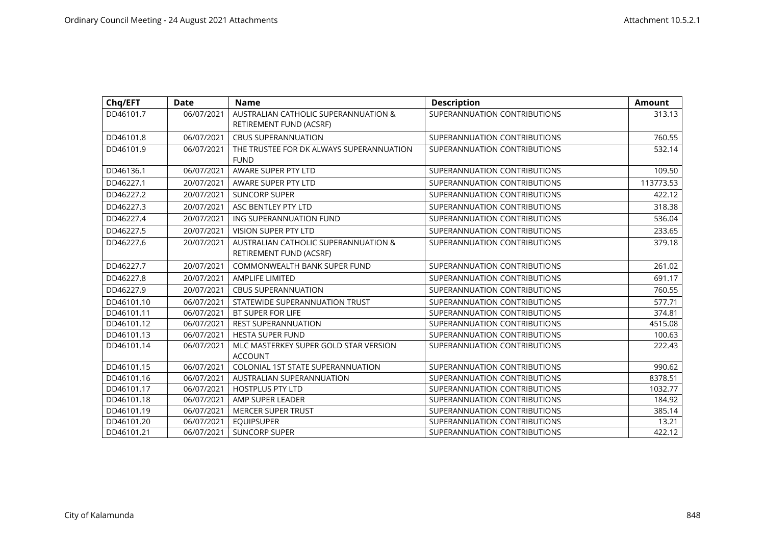| Chq/EFT    | <b>Date</b> | <b>Name</b>                                                     | <b>Description</b>           | <b>Amount</b> |
|------------|-------------|-----------------------------------------------------------------|------------------------------|---------------|
| DD46101.7  | 06/07/2021  | AUSTRALIAN CATHOLIC SUPERANNUATION &<br>RETIREMENT FUND (ACSRF) | SUPERANNUATION CONTRIBUTIONS | 313.13        |
| DD46101.8  | 06/07/2021  | <b>CBUS SUPERANNUATION</b>                                      | SUPERANNUATION CONTRIBUTIONS | 760.55        |
| DD46101.9  | 06/07/2021  | THE TRUSTEE FOR DK ALWAYS SUPERANNUATION<br><b>FUND</b>         | SUPERANNUATION CONTRIBUTIONS | 532.14        |
| DD46136.1  | 06/07/2021  | AWARE SUPER PTY LTD                                             | SUPERANNUATION CONTRIBUTIONS | 109.50        |
| DD46227.1  | 20/07/2021  | AWARE SUPER PTY LTD                                             | SUPERANNUATION CONTRIBUTIONS | 113773.53     |
| DD46227.2  | 20/07/2021  | <b>SUNCORP SUPER</b>                                            | SUPERANNUATION CONTRIBUTIONS | 422.12        |
| DD46227.3  | 20/07/2021  | ASC BENTLEY PTY LTD                                             | SUPERANNUATION CONTRIBUTIONS | 318.38        |
| DD46227.4  | 20/07/2021  | ING SUPERANNUATION FUND                                         | SUPERANNUATION CONTRIBUTIONS | 536.04        |
| DD46227.5  | 20/07/2021  | <b>VISION SUPER PTY LTD</b>                                     | SUPERANNUATION CONTRIBUTIONS | 233.65        |
| DD46227.6  | 20/07/2021  | AUSTRALIAN CATHOLIC SUPERANNUATION &<br>RETIREMENT FUND (ACSRF) | SUPERANNUATION CONTRIBUTIONS | 379.18        |
| DD46227.7  | 20/07/2021  | COMMONWEALTH BANK SUPER FUND                                    | SUPERANNUATION CONTRIBUTIONS | 261.02        |
| DD46227.8  | 20/07/2021  | <b>AMPLIFE LIMITED</b>                                          | SUPERANNUATION CONTRIBUTIONS | 691.17        |
| DD46227.9  | 20/07/2021  | <b>CBUS SUPERANNUATION</b>                                      | SUPERANNUATION CONTRIBUTIONS | 760.55        |
| DD46101.10 | 06/07/2021  | STATEWIDE SUPERANNUATION TRUST                                  | SUPERANNUATION CONTRIBUTIONS | 577.71        |
| DD46101.11 | 06/07/2021  | BT SUPER FOR LIFE                                               | SUPERANNUATION CONTRIBUTIONS | 374.81        |
| DD46101.12 | 06/07/2021  | <b>REST SUPERANNUATION</b>                                      | SUPERANNUATION CONTRIBUTIONS | 4515.08       |
| DD46101.13 | 06/07/2021  | <b>HESTA SUPER FUND</b>                                         | SUPERANNUATION CONTRIBUTIONS | 100.63        |
| DD46101.14 | 06/07/2021  | MLC MASTERKEY SUPER GOLD STAR VERSION<br><b>ACCOUNT</b>         | SUPERANNUATION CONTRIBUTIONS | 222.43        |
| DD46101.15 | 06/07/2021  | <b>COLONIAL 1ST STATE SUPERANNUATION</b>                        | SUPERANNUATION CONTRIBUTIONS | 990.62        |
| DD46101.16 | 06/07/2021  | AUSTRALIAN SUPERANNUATION                                       | SUPERANNUATION CONTRIBUTIONS | 8378.51       |
| DD46101.17 | 06/07/2021  | <b>HOSTPLUS PTY LTD</b>                                         | SUPERANNUATION CONTRIBUTIONS | 1032.77       |
| DD46101.18 | 06/07/2021  | AMP SUPER LEADER                                                | SUPERANNUATION CONTRIBUTIONS | 184.92        |
| DD46101.19 | 06/07/2021  | <b>MERCER SUPER TRUST</b>                                       | SUPERANNUATION CONTRIBUTIONS | 385.14        |
| DD46101.20 | 06/07/2021  | <b>EQUIPSUPER</b>                                               | SUPERANNUATION CONTRIBUTIONS | 13.21         |
| DD46101.21 | 06/07/2021  | <b>SUNCORP SUPER</b>                                            | SUPERANNUATION CONTRIBUTIONS | 422.12        |